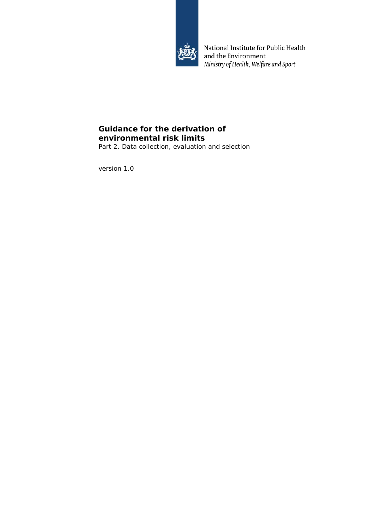

National Institute for Public Health and the Environment Ministry of Health, Welfare and Sport

# **Guidance for the derivation of environmental risk limits**

Part 2. Data collection, evaluation and selection

version 1.0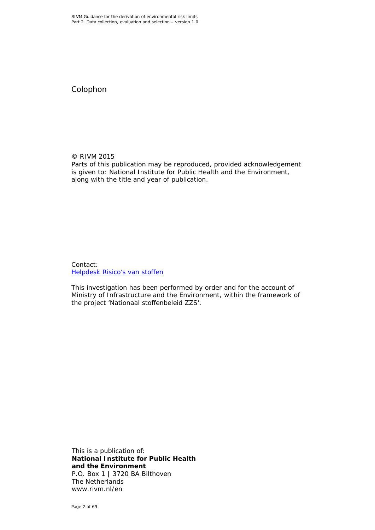Colophon

© RIVM 2015 Parts of this publication may be reproduced, provided acknowledgement is given to: National Institute for Public Health and the Environment, along with the title and year of publication.

Contact: [Helpdesk Risico's van stoffen](https://rvs.rivm.nl/helpdesk/helpdesk-risicos-van-stoffen)

This investigation has been performed by order and for the account of Ministry of Infrastructure and the Environment, within the framework of the project 'Nationaal stoffenbeleid ZZS'.

This is a publication of: **National Institute for Public Health and the Environment** P.O. Box 1 | 3720 BA Bilthoven The Netherlands www.rivm.nl/en

Page 2 of 69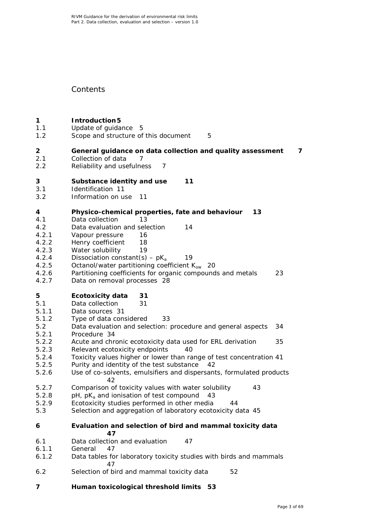# **Contents**

- **1 [Introduction5](#page-4-0)**<br>**1.1** Update of guida Update of quidance 5
- 1.2 [Scope and structure of this document](#page-4-2) 5
- **2 [General guidance on data collection and quality assessment](#page-6-0) 7**
- 2.1 [Collection of data](#page-6-1)
- 2.2 [Reliability and usefulness](#page-6-2) 7

### **3 [Substance identity and use](#page-10-0) 11**

- 3.1 [Identification](#page-10-1) 11<br>3.2 Information on u
- [Information on use](#page-10-2) 11

### **4 [Physico-chemical properties, fate and behaviour](#page-12-0) 13**

- 4.1 [Data collection](#page-12-1) 13
- 4.2 Data [evaluation and selection](#page-13-0) 14
- 4.2.1 [Vapour pressure](#page-15-0) 16
- 4.2.2 [Henry coefficient](#page-17-0) 18
- 4.2.3 [Water solubility](#page-18-0) 19
- 4.2.4 [Dissociation constant\(s\) –](#page-18-1)  $pK_a$  19<br>4.2.5 Octanol/water partitioning coefficient l
- Octanol/water partitioning coefficient  $K_{ow}$  20
- 4.2.6 [Partitioning coefficients for organic compounds and metals](#page-22-0) 23
- 4.2.7 [Data on removal processes](#page-27-0) 28

### **5 [Ecotoxicity data](#page-30-0) 31**

- 5.1 [Data collection](#page-30-1) 31
- 5.1.1 [Data sources](#page-30-2) 31
- 5.1.2 [Type of data considered](#page-32-0) 33
- 5.2 [Data evaluation and selection: procedure and general aspects](#page-33-0) 34 5.2.1 [Procedure](#page-33-1) 34<br>5.2.2 Acute and chri
- 5.2.2 [Acute and chronic ecotoxicity data used for ERL derivation](#page-34-0) 35<br>5.2.3 Relevant ecotoxicity endpoints 40 [Relevant ecotoxicity endpoints](#page-39-0) 40
- 5.2.4 [Toxicity values higher or lower than range of test concentration](#page-40-0) 41
- 5.2.5 [Purity and identity of the test substance](#page-41-0) 42
- 5.2.6 [Use of co-solvents, emulsifiers and dispersants, formulated products](#page-41-1) [42](#page-41-1)
- 5.2.7 [Comparison of toxicity values with water solubility](#page-42-0) 43
- 5.2.8 pH,  $pK_a$  [and ionisation of test compound](#page-42-1) 43<br>5.2.9 Ecotoxicity studies performed in other media
- 5.2.9 [Ecotoxicity studies performed in other media](#page-43-0) 44<br>5.3 Selection and agaregation of laboratory ecotoxicity of
- [Selection and aggregation of laboratory ecotoxicity data](#page-44-0) 45

### **6 [Evaluation and selection of bird and mammal toxicity data](#page-46-0) [47](#page-46-0)**

- 6.1 [Data collection and evaluation](#page-46-1) 47
- 6.1.1 [General](#page-46-2) 47
- 6.1.2 [Data tables for laboratory toxicity studies with birds and mammals](#page-46-3) [47](#page-46-3)
- 6.2 [Selection of bird and mammal toxicity data](#page-51-0) 52
- **7 [Human toxicological threshold limits](#page-52-0) 53**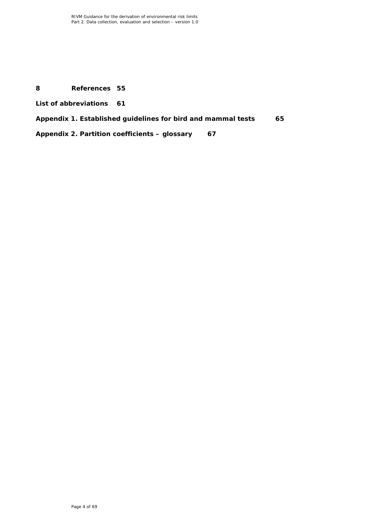# **8 [References](#page-54-0) 55**

**[List of abbreviations](#page-60-0) 61**

# **[Appendix 1. Established guidelines for bird and mammal tests](#page-64-0) 65**

**[Appendix 2. Partition coefficients –](#page-66-0) glossary 67**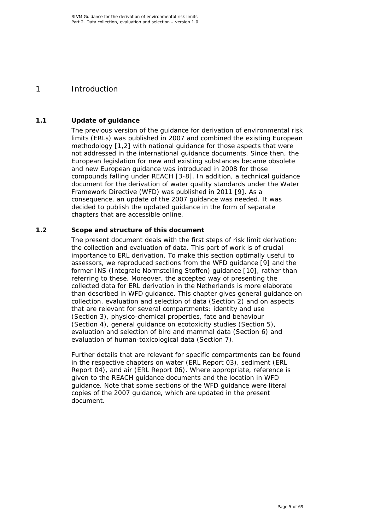# <span id="page-4-0"></span>1 Introduction

# **1.1 Update of guidance**

<span id="page-4-1"></span>The previous version of the guidance for derivation of environmental risk limits (ERLs) was published in 2007 and combined the existing European methodology [\[1](#page-54-1)[,2\]](#page-54-2) with national guidance for those aspects that were not addressed in the international guidance documents. Since then, the European legislation for new and existing substances became obsolete and new European guidance was introduced in 2008 for those compounds falling under REACH [\[3-8\]](#page-54-3). In addition, a technical guidance document for the derivation of water quality standards under the Water Framework Directive (WFD) was published in 2011 [\[9\]](#page-54-4). As a consequence, an update of the 2007 guidance was needed. It was decided to publish the updated guidance in the form of separate chapters that are accessible online.

### **1.2 Scope and structure of this document**

<span id="page-4-2"></span>The present document deals with the first steps of risk limit derivation: the collection and evaluation of data. This part of work is of crucial importance to ERL derivation. To make this section optimally useful to assessors, we reproduced sections from the WFD guidance [\[9\]](#page-54-4) and the former INS (Integrale Normstelling Stoffen) guidance [\[10\]](#page-54-5), rather than referring to these. Moreover, the accepted way of presenting the collected data for ERL derivation in the Netherlands is more elaborate than described in WFD guidance. This chapter gives general guidance on collection, evaluation and selection of data (Section 2) and on aspects that are relevant for several compartments: identity and use (Section 3), physico-chemical properties, fate and behaviour (Section [4\)](#page-12-0), general guidance on ecotoxicity studies (Section 5), evaluation and selection of bird and mammal data (Section 6) and evaluation of human-toxicological data (Section 7).

Further details that are relevant for specific compartments can be found in the respective chapters on water (ERL Report 03), sediment (ERL Report 04), and air (ERL Report 06). Where appropriate, reference is given to the REACH guidance documents and the location in WFD guidance. Note that some sections of the WFD guidance were literal copies of the 2007 guidance, which are updated in the present document.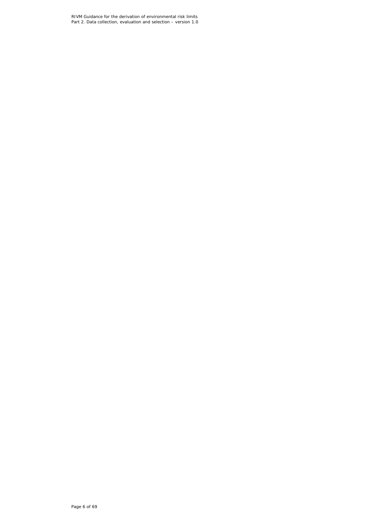RIVM Guidance for the derivation of environmental risk limits Part 2. Data collection, evaluation and selection – version 1.0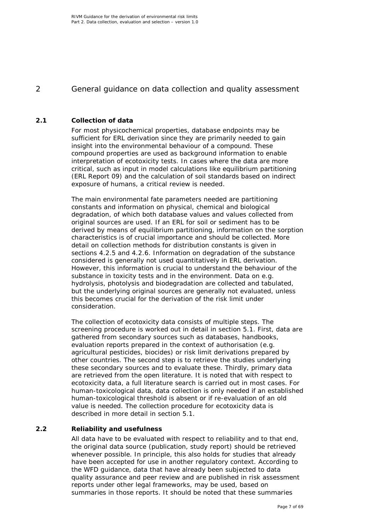# <span id="page-6-0"></span>2 General guidance on data collection and quality assessment

# **2.1 Collection of data**

<span id="page-6-1"></span>For most physicochemical properties, database endpoints may be sufficient for ERL derivation since they are primarily needed to gain insight into the environmental behaviour of a compound. These compound properties are used as background information to enable interpretation of ecotoxicity tests. In cases where the data are more critical, such as input in model calculations like equilibrium partitioning (ERL Report 09) and the calculation of soil standards based on indirect exposure of humans, a critical review is needed.

The main environmental fate parameters needed are partitioning constants and information on physical, chemical and biological degradation, of which both database values and values collected from original sources are used. If an ERL for soil or sediment has to be derived by means of equilibrium partitioning, information on the sorption characteristics is of crucial importance and should be collected. More detail on collection methods for distribution constants is given in sections 4.2.5 and 4.2.6. Information on degradation of the substance considered is generally not used quantitatively in ERL derivation. However, this information is crucial to understand the behaviour of the substance in toxicity tests and in the environment. Data on e.g. hydrolysis, photolysis and biodegradation are collected and tabulated, but the underlying original sources are generally not evaluated, unless this becomes crucial for the derivation of the risk limit under consideration.

The collection of ecotoxicity data consists of multiple steps. The screening procedure is worked out in detail in section 5.1. First, data are gathered from secondary sources such as databases, handbooks, evaluation reports prepared in the context of authorisation (e.g. agricultural pesticides, biocides) or risk limit derivations prepared by other countries. The second step is to retrieve the studies underlying these secondary sources and to evaluate these. Thirdly, primary data are retrieved from the open literature. It is noted that with respect to ecotoxicity data, a full literature search is carried out in most cases. For human-toxicological data, data collection is only needed if an established human-toxicological threshold is absent or if re-evaluation of an old value is needed. The collection procedure for ecotoxicity data is described in more detail in section 5.1.

### **2.2 Reliability and usefulness**

<span id="page-6-2"></span>All data have to be evaluated with respect to reliability and to that end, the original data source (publication, study report) should be retrieved whenever possible. In principle, this also holds for studies that already have been accepted for use in another regulatory context. According to the WFD guidance, data that have already been subjected to data quality assurance and peer review and are published in risk assessment reports under other legal frameworks, may be used, based on summaries in those reports. It should be noted that these summaries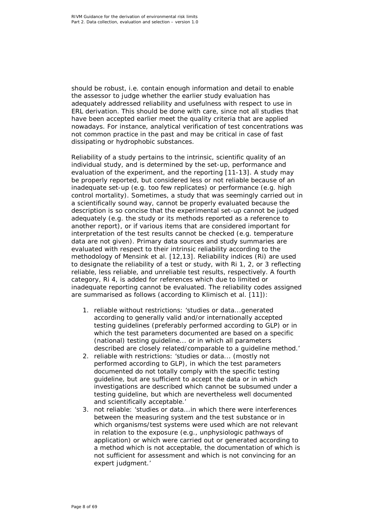should be robust, i.e. contain enough information and detail to enable the assessor to judge whether the earlier study evaluation has adequately addressed reliability and usefulness with respect to use in ERL derivation. This should be done with care, since not all studies that have been accepted earlier meet the quality criteria that are applied nowadays. For instance, analytical verification of test concentrations was not common practice in the past and may be critical in case of fast dissipating or hydrophobic substances.

Reliability of a study pertains to the intrinsic, scientific quality of an individual study, and is determined by the set-up, performance and evaluation of the experiment, and the reporting [\[11-13\]](#page-54-6). A study may be properly reported, but considered less or not reliable because of an inadequate set-up (e.g. too few replicates) or performance (e.g. high control mortality). Sometimes, a study that was seemingly carried out in a scientifically sound way, cannot be properly evaluated because the description is so concise that the experimental set-up cannot be judged adequately (e.g. the study or its methods reported as a reference to another report), or if various items that are considered important for interpretation of the test results cannot be checked (e.g. temperature data are not given). Primary data sources and study summaries are evaluated with respect to their intrinsic reliability according to the methodology of Mensink et al. [\[12,](#page-55-0)[13\]](#page-55-1). Reliability indices (Ri) are used to designate the reliability of a test or study, with Ri 1, 2, or 3 reflecting reliable, less reliable, and unreliable test results, respectively. A fourth category, Ri 4, is added for references which due to limited or inadequate reporting cannot be evaluated. The reliability codes assigned are summarised as follows (according to Klimisch et al. [\[11\]](#page-54-6)):

- 1. reliable without restrictions: 'studies or data...generated according to generally valid and/or internationally accepted testing guidelines (preferably performed according to GLP) or in which the test parameters documented are based on a specific (national) testing guideline... or in which all parameters described are closely related/comparable to a guideline method.'
- 2. reliable with restrictions: 'studies or data... (mostly not performed according to GLP), in which the test parameters documented do not totally comply with the specific testing guideline, but are sufficient to accept the data or in which investigations are described which cannot be subsumed under a testing guideline, but which are nevertheless well documented and scientifically acceptable.'
- 3. not reliable: 'studies or data...in which there were interferences between the measuring system and the test substance or in which organisms/test systems were used which are not relevant in relation to the exposure (e.g., unphysiologic pathways of application) or which were carried out or generated according to a method which is not acceptable, the documentation of which is not sufficient for assessment and which is not convincing for an expert judgment.'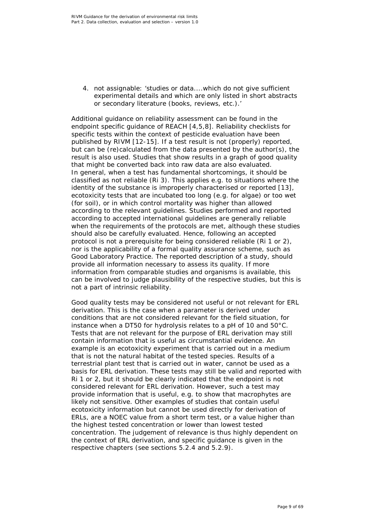4. not assignable: 'studies or data....which do not give sufficient experimental details and which are only listed in short abstracts or secondary literature (books, reviews, etc.).'

Additional guidance on reliability assessment can be found in the endpoint specific guidance of REACH [\[4,](#page-54-7)[5](#page-54-8)[,8\]](#page-54-9). Reliability checklists for specific tests within the context of pesticide evaluation have been published by RIVM [\[12-15\]](#page-55-0). If a test result is not (properly) reported, but can be (re)calculated from the data presented by the author(s), the result is also used. Studies that show results in a graph of good quality that might be converted back into raw data are also evaluated. In general, when a test has fundamental shortcomings, it should be classified as not reliable (Ri 3). This applies e.g. to situations where the identity of the substance is improperly characterised or reported [\[13\]](#page-55-1), ecotoxicity tests that are incubated too long (e.g. for algae) or too wet (for soil), or in which control mortality was higher than allowed according to the relevant guidelines. Studies performed and reported according to accepted international guidelines are generally reliable when the requirements of the protocols are met, although these studies should also be carefully evaluated. Hence, following an accepted protocol is not a prerequisite for being considered reliable (Ri 1 or 2), nor is the applicability of a formal quality assurance scheme, such as Good Laboratory Practice. The reported description of a study, should provide all information necessary to assess its quality. If more information from comparable studies and organisms is available, this can be involved to judge plausibility of the respective studies, but this is not a part of intrinsic reliability.

Good quality tests may be considered not useful or not relevant for ERL derivation. This is the case when a parameter is derived under conditions that are not considered relevant for the field situation, for instance when a DT50 for hydrolysis relates to a pH of 10 and 50°C. Tests that are not relevant for the purpose of ERL derivation may still contain information that is useful as circumstantial evidence. An example is an ecotoxicity experiment that is carried out in a medium that is not the natural habitat of the tested species. Results of a terrestrial plant test that is carried out in water, cannot be used as a basis for ERL derivation. These tests may still be valid and reported with Ri 1 or 2, but it should be clearly indicated that the endpoint is not considered relevant for ERL derivation. However, such a test may provide information that is useful, e.g. to show that macrophytes are likely not sensitive. Other examples of studies that contain useful ecotoxicity information but cannot be used directly for derivation of ERLs, are a NOEC value from a short term test, or a value higher than the highest tested concentration or lower than lowest tested concentration. The judgement of relevance is thus highly dependent on the context of ERL derivation, and specific guidance is given in the respective chapters (see sections 5.2.4 and 5.2.9).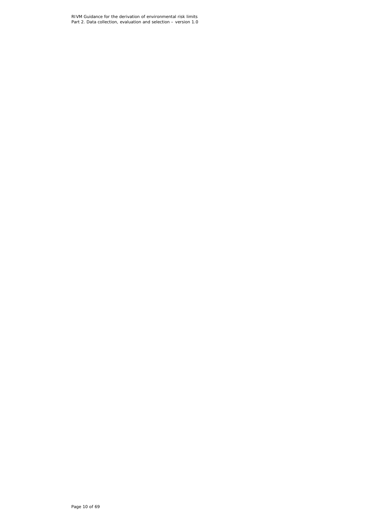RIVM Guidance for the derivation of environmental risk limits Part 2. Data collection, evaluation and selection – version 1.0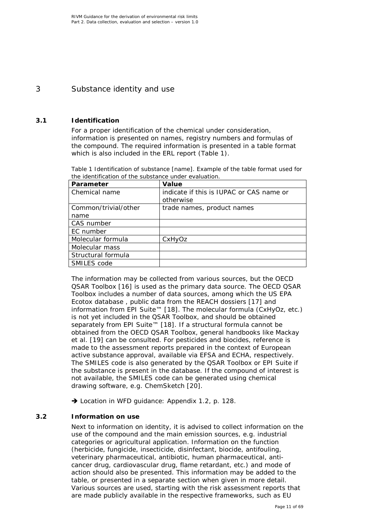# <span id="page-10-0"></span>3 Substance identity and use

### **3.1 Identification**

<span id="page-10-1"></span>For a proper identification of the chemical under consideration, information is presented on names, registry numbers and formulas of the compound. The required information is presented in a table format which is also included in the ERL report (Table 1).

*Table 1 Identification of substance [name]. Example of the table format used for the identification of the substance under evaluation.*

| Parameter            | <b>Value</b>                             |
|----------------------|------------------------------------------|
| Chemical name        | indicate if this is IUPAC or CAS name or |
|                      | otherwise                                |
| Common/trivial/other | trade names, product names               |
| name                 |                                          |
| CAS number           |                                          |
| EC number            |                                          |
| Molecular formula    | CxHyOz                                   |
| Molecular mass       |                                          |
| Structural formula   |                                          |
| SMILES code          |                                          |

The information may be collected from various sources, but the OECD QSAR Toolbox [\[16\]](#page-55-2) is used as the primary data source. The OECD QSAR Toolbox includes a number of data sources, among which the US EPA Ecotox database , public data from the REACH dossiers [\[17\]](#page-55-3) and information from EPI Suite™ [\[18\]](#page-55-4). The molecular formula (CxHyOz, etc.) is not yet included in the QSAR Toolbox, and should be obtained separately from EPI Suite™ [\[18\]](#page-55-4). If a structural formula cannot be obtained from the OECD QSAR Toolbox, general handbooks like Mackay et al. [\[19\]](#page-55-5) can be consulted. For pesticides and biocides, reference is made to the assessment reports prepared in the context of European active substance approval, available via EFSA and ECHA, respectively. The SMILES code is also generated by the QSAR Toolbox or EPI Suite if the substance is present in the database. If the compound of interest is not available, the SMILES code can be generated using chemical drawing software, e.g. ChemSketch [\[20\]](#page-55-6).

→ Location in WFD guidance: Appendix 1.2, p. 128.

# **3.2 Information on use**

<span id="page-10-2"></span>Next to information on identity, it is advised to collect information on the use of the compound and the main emission sources, e.g. industrial categories or agricultural application. Information on the function (herbicide, fungicide, insecticide, disinfectant, biocide, antifouling, veterinary pharmaceutical, antibiotic, human pharmaceutical, anticancer drug, cardiovascular drug, flame retardant, etc.) and mode of action should also be presented. This information may be added to the table, or presented in a separate section when given in more detail. Various sources are used, starting with the risk assessment reports that are made publicly available in the respective frameworks, such as EU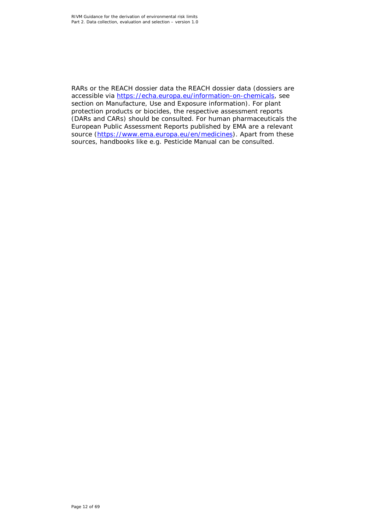RARs or the REACH dossier data the REACH dossier data (dossiers are accessible via [https://echa.europa.eu/information-on-chemicals,](https://echa.europa.eu/information-on-chemicals) see section on Manufacture, Use and Exposure information). For plant protection products or biocides, the respective assessment reports (DARs and CARs) should be consulted. For human pharmaceuticals the European Public Assessment Reports published by EMA are a relevant source [\(https://www.ema.europa.eu/en/medicines\)](https://www.ema.europa.eu/en/medicines). Apart from these sources, handbooks like e.g. Pesticide Manual can be consulted.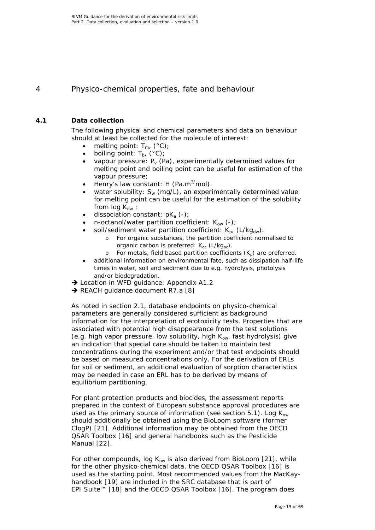# <span id="page-12-0"></span>4 Physico-chemical properties, fate and behaviour

# **4.1 Data collection**

<span id="page-12-1"></span>The following physical and chemical parameters and data on behaviour should at least be collected for the molecule of interest:

- melting point:  $T_m$ , (°C);
- boiling point:  $T_b$ , (°C);
- vapour pressure:  $P_v$  (Pa), experimentally determined values for melting point and boiling point can be useful for estimation of the vapour pressure;
- Henry's law constant:  $H(Pa.m<sup>3</sup>/mol)$ .
- water solubility:  $S_w$  (mg/L), an experimentally determined value for melting point can be useful for the estimation of the solubility from  $log K_{ow}$ ;
- dissociation constant:  $pK_a$  (-);
- *n*-octanol/water partition coefficient:  $K_{ow}(-)$ ;
	- soil/sediment water partition coefficient:  $K_p$ , (L/kg<sub>dw</sub>).
		- o For organic substances, the partition coefficient normalised to organic carbon is preferred:  $K_{oc}$  (L/kg<sub>oc</sub>).
		- o For metals, field based partition coefficients  $(K_p)$  are preferred.
- additional information on environmental fate, such as dissipation half-life times in water, soil and sediment due to e.g. hydrolysis, photolysis and/or biodegradation.
- → Location in WFD quidance: Appendix A1.2
- REACH guidance document R7.a [\[8\]](#page-54-9)

As noted in section 2.1, database endpoints on physico-chemical parameters are generally considered sufficient as background information for the interpretation of ecotoxicity tests. Properties that are associated with potential high disappearance from the test solutions (e.g. high vapor pressure, low solubility, high  $K_{ow}$ , fast hydrolysis) give an indication that special care should be taken to maintain test concentrations during the experiment and/or that test endpoints should be based on measured concentrations only. For the derivation of ERLs for soil or sediment, an additional evaluation of sorption characteristics may be needed in case an ERL has to be derived by means of equilibrium partitioning.

For plant protection products and biocides, the assessment reports prepared in the context of European substance approval procedures are used as the primary source of information (see section 5.1). Log  $K_{ow}$ should additionally be obtained using the BioLoom software (former ClogP) [\[21\]](#page-55-7). Additional information may be obtained from the OECD QSAR Toolbox [\[16\]](#page-55-2) and general handbooks such as the Pesticide Manual [\[22\]](#page-55-8).

For other compounds, log  $K_{ow}$  is also derived from BioLoom [\[21\]](#page-55-7), while for the other physico-chemical data, the OECD QSAR Toolbox [\[16\]](#page-55-2) is used as the starting point. Most recommended values from the MacKayhandbook [\[19\]](#page-55-5) are included in the SRC database that is part of EPI Suite™ [\[18\]](#page-55-4) and the OECD QSAR Toolbox [\[16\]](#page-55-2). The program does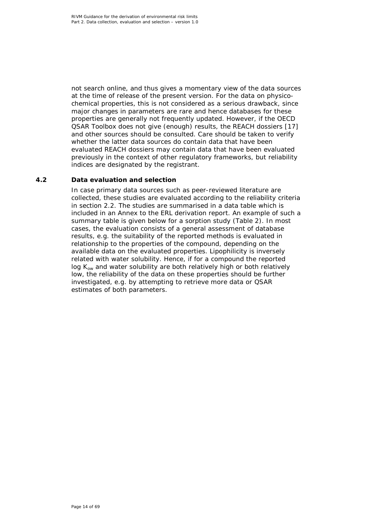not search online, and thus gives a momentary view of the data sources at the time of release of the present version. For the data on physicochemical properties, this is not considered as a serious drawback, since major changes in parameters are rare and hence databases for these properties are generally not frequently updated. However, if the OECD QSAR Toolbox does not give (enough) results, the REACH dossiers [\[17\]](#page-55-3) and other sources should be consulted. Care should be taken to verify whether the latter data sources do contain data that have been evaluated REACH dossiers may contain data that have been evaluated previously in the context of other regulatory frameworks, but reliability indices are designated by the registrant.

#### **4.2 Data evaluation and selection**

<span id="page-13-0"></span>In case primary data sources such as peer-reviewed literature are collected, these studies are evaluated according to the reliability criteria in section 2.2. The studies are summarised in a data table which is included in an Annex to the ERL derivation report. An example of such a summary table is given below for a sorption study (Table 2). In most cases, the evaluation consists of a general assessment of database results, e.g. the suitability of the reported methods is evaluated in relationship to the properties of the compound, depending on the available data on the evaluated properties. Lipophilicity is inversely related with water solubility. Hence, if for a compound the reported  $log K<sub>ow</sub>$  and water solubility are both relatively high or both relatively low, the reliability of the data on these properties should be further investigated, e.g. by attempting to retrieve more data or QSAR estimates of both parameters.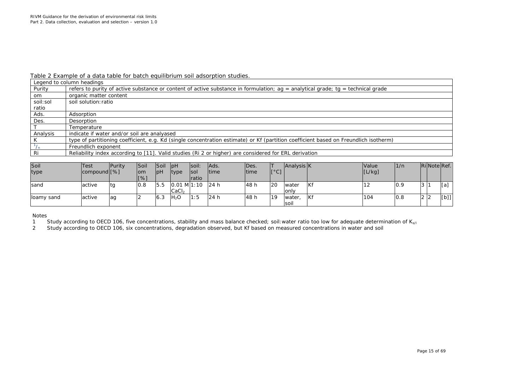#### *Table 2 Example of a data table for batch equilibrium soil adsorption studies.*

|           | Legend to column headings                                                                                                            |
|-----------|--------------------------------------------------------------------------------------------------------------------------------------|
| Purity    | refers to purity of active substance or content of active substance in formulation; $aq =$ analytical grade; tq = technical grade    |
| om        | organic matter content                                                                                                               |
| soil: sol | soil solution: ratio                                                                                                                 |
| ratio     |                                                                                                                                      |
| Ads.      | Adsorption                                                                                                                           |
| Des.      | Desorption                                                                                                                           |
|           | Temperature                                                                                                                          |
| Analysis  | indicate if water and/or soil are analyased                                                                                          |
| К         | type of partitioning coefficient, e.g. Kd (single concentration estimate) or Kf (partition coefficient based on Freundlich isotherm) |
|           | Freundlich exponent                                                                                                                  |
| Ri        | Reliability index according to [11]. Valid studies (Ri 2 or higher) are considered for ERL derivation                                |
|           |                                                                                                                                      |

| Soil        | Test             | Purity | Soil | Soil | pH                | soil:      | Ads.  | Des. |                    | Analysis K |     | <b>Value</b> | 1/n |                | $\vert$ Ri $\vert$ Note $\vert$ Ref. |       |
|-------------|------------------|--------|------|------|-------------------|------------|-------|------|--------------------|------------|-----|--------------|-----|----------------|--------------------------------------|-------|
| type        | $ compound $ [%] |        | lom  | lpH  | type              | <b>Sol</b> | Itime | time | [C <sup>°</sup> C] |            |     | [L/kg]       |     |                |                                      |       |
|             |                  |        | '[%] |      |                   | ratio      |       |      |                    |            |     |              |     |                |                                      |       |
| sand        | active           | ∣tg    | 0.8  | 5.5  | $0.01$ M $1:10$   |            | 24 h  | 48 h | 20                 | water      | lKf |              | 0.9 | 3 <sup>1</sup> |                                      | . [a] |
|             |                  |        |      |      | CaCl <sub>2</sub> |            |       |      |                    | lonly      |     |              |     |                |                                      |       |
| lloamy sand | active           | ag     |      | 16.3 | $H_2O$            | 1:5        | 24 h  | 48 h | 19                 | water      | lKf | 104          | 0.8 | 2 I2           |                                      | [b]   |
|             |                  |        |      |      |                   |            |       |      |                    | soil       |     |              |     |                |                                      |       |

#### Notes

1 Study according to OECD 106, five concentrations, stability and mass balance checked; soil: water ratio too low for adequate determination of K<sub>s/l</sub><br>2 Study according to OECD 106, six concentrations, degradation observed

2 Study according to OECD 106, six concentrations, degradation observed, but Kf based on measured concentrations in water and soil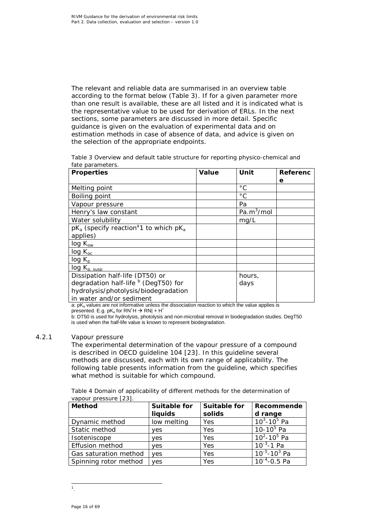The relevant and reliable data are summarised in an overview table according to the format below (Table 3). If for a given parameter more than one result is available, these are all listed and it is indicated what is the representative value to be used for derivation of ERLs. In the next sections, some parameters are discussed in more detail. Specific guidance is given on the evaluation of experimental data and on estimation methods in case of absence of data, and advice is given on the selection of the appropriate endpoints.

| <b>Properties</b>                                       | <b>Value</b> | Unit           | Referenc |
|---------------------------------------------------------|--------------|----------------|----------|
|                                                         |              |                | е        |
| Melting point                                           |              | $^{\circ}$ C.  |          |
| Boiling point                                           |              | $^{\circ}$ C   |          |
| Vapour pressure                                         |              | Pa             |          |
| Henry's law constant                                    |              | Pa. $m^3$ /mol |          |
| Water solubility                                        |              | mq/L           |          |
| $pK_a$ (specify reaction <sup>a</sup> 1 to which $pK_a$ |              |                |          |
| applies)                                                |              |                |          |
| $log K_{ow}$                                            |              |                |          |
| $log K_{oc}$                                            |              |                |          |
| $log K_p$                                               |              |                |          |
| $log K_{p, susp}$                                       |              |                |          |
| Dissipation half-life (DT50) or                         |              | hours,         |          |
| degradation half-life <sup>b</sup> (DegT50) for         |              | days           |          |
| hydrolysis/photolysis/biodegradation                    |              |                |          |
| in water and/or sediment                                |              |                |          |

*Table 3 Overview and default table structure for reporting physico-chemical and fate parameters.*

a:  $pK<sub>a</sub>$  values are not informative unless the dissociation reaction to which the value applies is presented. E.g. p $K_a$  for RN<sup>+</sup>H  $\rightarrow$  RN| + H<sup>+</sup>

b: DT50 is used for hydrolysis, photolysis and non-microbial removal in biodegradation studies. DegT50 is used when the half-life value is known to represent biodegradation.

### *4.2.1 Vapour pressure*

<span id="page-15-0"></span>The experimental determination of the vapour pressure of a compound is described in OECD guideline 104 [\[23\]](#page-55-9). In this guideline several methods are discussed, each with its own range of applicability. The following table presents information from the guideline, which specifies what method is suitable for which compound.

|                       | Table 4 Domain of applicability of different methods for the determination of |
|-----------------------|-------------------------------------------------------------------------------|
| vapour pressure [23]. |                                                                               |

| <b>Method</b>         | Suitable for<br>liquids | <b>Suitable for</b><br>solids | Recommende<br>d range |  |  |
|-----------------------|-------------------------|-------------------------------|-----------------------|--|--|
| Dynamic method        | low melting             | Yes                           | $10^3 - 10^5$ Pa      |  |  |
| Static method         | <b>ves</b>              | Yes                           | 10-10 $5$ Pa          |  |  |
| Isoteniscope          | ves                     | Yes                           | $10^2 - 10^5$ Pa      |  |  |
| Effusion method       | ves                     | Yes                           | $10^{-3}$ -1 Pa       |  |  |
| Gas saturation method | ves                     | Yes                           | $10^{-5} - 10^{3}$ Pa |  |  |
| Spinning rotor method | ves                     | Yes                           | $10^{-4}$ -0.5 Pa     |  |  |

<span id="page-15-1"></span> $\frac{1}{1}$ .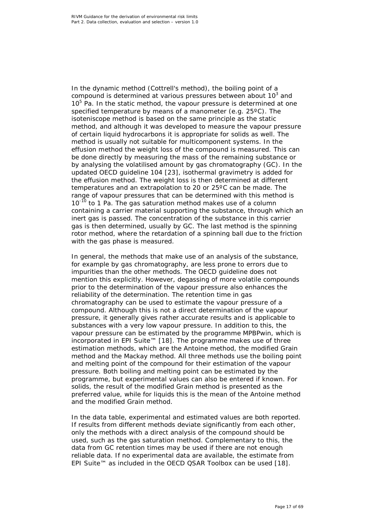In the dynamic method (Cottrell's method), the boiling point of a compound is determined at various pressures between about  $10<sup>3</sup>$  and  $10<sup>5</sup>$  Pa. In the static method, the vapour pressure is determined at one specified temperature by means of a manometer (e.g.  $25^{\circ}$ C). The isoteniscope method is based on the same principle as the static method, and although it was developed to measure the vapour pressure of certain liquid hydrocarbons it is appropriate for solids as well. The method is usually not suitable for multicomponent systems. In the effusion method the weight loss of the compound is measured. This can be done directly by measuring the mass of the remaining substance or by analysing the volatilised amount by gas chromatography (GC). In the updated OECD guideline 104 [\[23\]](#page-55-9), isothermal gravimetry is added for the effusion method. The weight loss is then determined at different temperatures and an extrapolation to 20 or 25ºC can be made. The range of vapour pressures that can be determined with this method is  $10^{-10}$  to 1 Pa. The gas saturation method makes use of a column containing a carrier material supporting the substance, through which an inert gas is passed. The concentration of the substance in this carrier gas is then determined, usually by GC. The last method is the spinning rotor method, where the retardation of a spinning ball due to the friction with the gas phase is measured.

In general, the methods that make use of an analysis of the substance, for example by gas chromatography, are less prone to errors due to impurities than the other methods. The OECD guideline does not mention this explicitly. However, degassing of more volatile compounds prior to the determination of the vapour pressure also enhances the reliability of the determination. The retention time in gas chromatography can be used to estimate the vapour pressure of a compound. Although this is not a direct determination of the vapour pressure, it generally gives rather accurate results and is applicable to substances with a very low vapour pressure. In addition to this, the vapour pressure can be estimated by the programme MPBPwin, which is incorporated in EPI Suite™ [\[18\]](#page-55-4). The programme makes use of three estimation methods, which are the Antoine method, the modified Grain method and the Mackay method. All three methods use the boiling point and melting point of the compound for their estimation of the vapour pressure. Both boiling and melting point can be estimated by the programme, but experimental values can also be entered if known. For solids, the result of the modified Grain method is presented as the preferred value, while for liquids this is the mean of the Antoine method and the modified Grain method.

In the data table, experimental and estimated values are both reported. If results from different methods deviate significantly from each other, only the methods with a direct analysis of the compound should be used, such as the gas saturation method. Complementary to this, the data from GC retention times may be used if there are not enough reliable data. If no experimental data are available, the estimate from EPI Suite™ as included in the OECD QSAR Toolbox can be used [\[18\]](#page-55-4).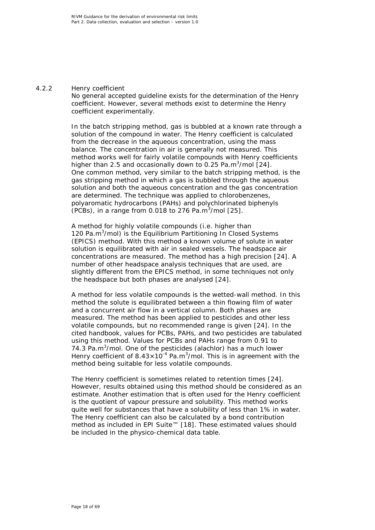#### *4.2.2 Henry coefficient*

<span id="page-17-0"></span>No general accepted guideline exists for the determination of the Henry coefficient. However, several methods exist to determine the Henry coefficient experimentally.

In the batch stripping method, gas is bubbled at a known rate through a solution of the compound in water. The Henry coefficient is calculated from the decrease in the aqueous concentration, using the mass balance. The concentration in air is generally not measured. This method works well for fairly volatile compounds with Henry coefficients higher than 2.5 and occasionally down to 0.25 Pa.m<sup>3</sup>/mol [\[24\]](#page-55-10). One common method, very similar to the batch stripping method, is the gas stripping method in which a gas is bubbled through the aqueous solution and both the aqueous concentration and the gas concentration are determined. The technique was applied to chlorobenzenes, polyaromatic hydrocarbons (PAHs) and polychlorinated biphenyls (PCBs), in a range from 0.018 to 276 Pa.m<sup>3</sup>/mol [\[25\]](#page-55-11).

A method for highly volatile compounds (i.e. higher than 120 Pa.m<sup>3</sup>/mol) is the Equilibrium Partitioning In Closed Systems (EPICS) method. With this method a known volume of solute in water solution is equilibrated with air in sealed vessels. The headspace air concentrations are measured. The method has a high precision [\[24\]](#page-55-10). A number of other headspace analysis techniques that are used, are slightly different from the EPICS method, in some techniques not only the headspace but both phases are analysed [\[24\]](#page-55-10).

A method for less volatile compounds is the wetted-wall method. In this method the solute is equilibrated between a thin flowing film of water and a concurrent air flow in a vertical column. Both phases are measured. The method has been applied to pesticides and other less volatile compounds, but no recommended range is given [\[24\]](#page-55-10). In the cited handbook, values for PCBs, PAHs, and two pesticides are tabulated using this method. Values for PCBs and PAHs range from 0.91 to 74.3 Pa.m $3$ /mol. One of the pesticides (alachlor) has a much lower Henry coefficient of 8.43 $\times$ 10<sup>-4</sup> Pa.m<sup>3</sup>/mol. This is in agreement with the method being suitable for less volatile compounds.

The Henry coefficient is sometimes related to retention times [\[24\]](#page-55-10). However, results obtained using this method should be considered as an estimate. Another estimation that is often used for the Henry coefficient is the quotient of vapour pressure and solubility. This method works quite well for substances that have a solubility of less than 1% in water. The Henry coefficient can also be calculated by a bond contribution method as included in EPI Suite™ [\[18\]](#page-55-4). These estimated values should be included in the physico-chemical data table.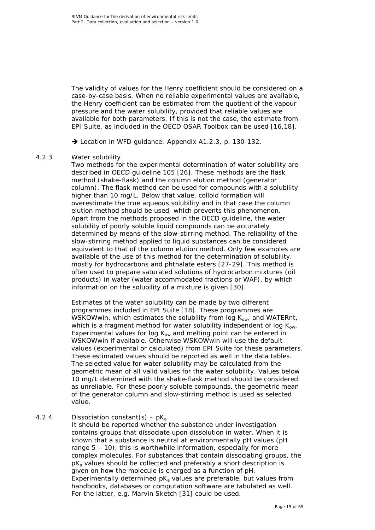The validity of values for the Henry coefficient should be considered on a case-by-case basis. When no reliable experimental values are available, the Henry coefficient can be estimated from the quotient of the vapour pressure and the water solubility, provided that reliable values are available for both parameters. If this is not the case, the estimate from EPI Suite, as included in the OECD QSAR Toolbox can be used [\[16](#page-55-2)[,18\]](#page-55-4).

→ Location in WFD quidance: Appendix A1.2.3, p. 130-132.

#### *4.2.3 Water solubility*

<span id="page-18-0"></span>Two methods for the experimental determination of water solubility are described in OECD guideline 105 [\[26\]](#page-55-12). These methods are the flask method (shake-flask) and the column elution method (generator column). The flask method can be used for compounds with a solubility higher than 10 mg/L. Below that value, colloid formation will overestimate the true aqueous solubility and in that case the column elution method should be used, which prevents this phenomenon. Apart from the methods proposed in the OECD guideline, the water solubility of poorly soluble liquid compounds can be accurately determined by means of the slow-stirring method. The reliability of the slow-stirring method applied to liquid substances can be considered equivalent to that of the column elution method. Only few examples are available of the use of this method for the determination of solubility, mostly for hydrocarbons and phthalate esters [\[27-29\]](#page-56-0). This method is often used to prepare saturated solutions of hydrocarbon mixtures (oil products) in water (water accommodated fractions or WAF), by which information on the solubility of a mixture is given [\[30\]](#page-56-1).

Estimates of the water solubility can be made by two different programmes included in EPI Suite [\[18\]](#page-55-4). These programmes are WSKOWwin, which estimates the solubility from log  $K_{\text{ow}}$ , and WATERnt, which is a fragment method for water solubility independent of log  $K_{ow}$ . Experimental values for log  $K_{ow}$  and melting point can be entered in WSKOWwin if available. Otherwise WSKOWwin will use the default values (experimental or calculated) from EPI Suite for these parameters. These estimated values should be reported as well in the data tables. The selected value for water solubility may be calculated from the geometric mean of all valid values for the water solubility. Values below 10 mg/L determined with the shake-flask method should be considered as unreliable. For these poorly soluble compounds, the geometric mean of the generator column and slow-stirring method is used as selected value.

### *4.2.4 Dissociation constant(s) – pKa*

<span id="page-18-1"></span>It should be reported whether the substance under investigation contains groups that dissociate upon dissolution in water. When it is known that a substance is neutral at environmentally pH values (pH range 5 – 10), this is worthwhile information, especially for more complex molecules. For substances that contain dissociating groups, the  $pK<sub>a</sub>$  values should be collected and preferably a short description is given on how the molecule is charged as a function of pH. Experimentally determined  $pK_a$  values are preferable, but values from handbooks, databases or computation software are tabulated as well. For the latter, e.g. Marvin Sketch [\[31\]](#page-56-2) could be used.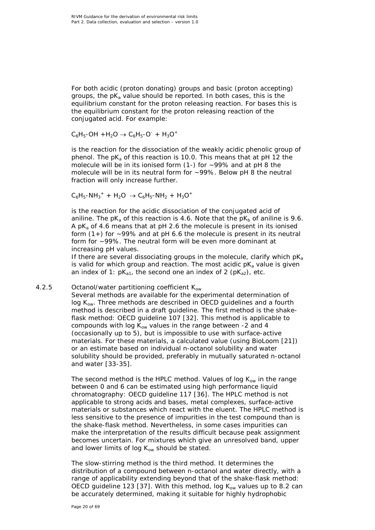For both acidic (proton donating) groups and basic (proton accepting) groups, the  $pK_a$  value should be reported. In both cases, this is the equilibrium constant for the proton releasing reaction. For bases this is the equilibrium constant for the proton releasing reaction of the conjugated acid. For example:

 $C_6H_5$ -OH + $H_2O \rightarrow C_6H_5$ -O<sup>-</sup> +  $H_3O^+$ 

is the reaction for the dissociation of the weakly acidic phenolic group of phenol. The  $pK_a$  of this reaction is 10.0. This means that at  $pH$  12 the molecule will be in its ionised form (1-) for ~99% and at pH 8 the molecule will be in its neutral form for ~99%. Below pH 8 the neutral fraction will only increase further.

 $C_6H_5-NH_3^+ + H_2O \rightarrow C_6H_5-NH_2 + H_3O^+$ 

is the reaction for the acidic dissociation of the conjugated acid of aniline. The  $pK_a$  of this reaction is 4.6. Note that the  $pK_b$  of aniline is 9.6. A  $pK<sub>a</sub>$  of 4.6 means that at  $pH$  2.6 the molecule is present in its ionised form  $(1+)$  for  $\sim$  99% and at pH 6.6 the molecule is present in its neutral form for ~99%. The neutral form will be even more dominant at increasing pH values.

If there are several dissociating groups in the molecule, clarify which  $pK_a$ is valid for which group and reaction. The most acidic  $pK<sub>a</sub>$  value is given an index of 1:  $pK_{a1}$ , the second one an index of 2 ( $pK_{a2}$ ), etc.

### *4.2.5 Octanol/water partitioning coefficient Kow*

<span id="page-19-0"></span>Several methods are available for the experimental determination of log K<sub>ow</sub>. Three methods are described in OECD guidelines and a fourth method is described in a draft guideline. The first method is the shakeflask method: OECD guideline 107 [\[32\]](#page-56-3). This method is applicable to compounds with log  $K_{ow}$  values in the range between -2 and 4 (occasionally up to 5), but is impossible to use with surface-active materials. For these materials, a calculated value (using BioLoom [\[21\]](#page-55-7)) or an estimate based on individual *n*-octanol solubility and water solubility should be provided, preferably in mutually saturated *n*-octanol and water [\[33-35\]](#page-56-4).

The second method is the HPLC method. Values of log  $K_{ow}$  in the range between 0 and 6 can be estimated using high performance liquid chromatography: OECD guideline 117 [\[36\]](#page-56-5). The HPLC method is not applicable to strong acids and bases, metal complexes, surface-active materials or substances which react with the eluent. The HPLC method is less sensitive to the presence of impurities in the test compound than is the shake-flask method. Nevertheless, in some cases impurities can make the interpretation of the results difficult because peak assignment becomes uncertain. For mixtures which give an unresolved band, upper and lower limits of log  $K_{ow}$  should be stated.

The slow-stirring method is the third method. It determines the distribution of a compound between *n*-octanol and water directly, with a range of applicability extending beyond that of the shake-flask method: OECD guideline 123 [\[37\]](#page-56-6). With this method, log  $K_{ow}$  values up to 8.2 can be accurately determined, making it suitable for highly hydrophobic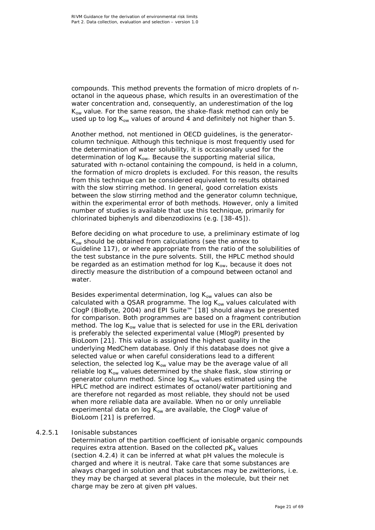compounds. This method prevents the formation of micro droplets of *n*octanol in the aqueous phase, which results in an overestimation of the water concentration and, consequently, an underestimation of the log K<sub>ow</sub> value. For the same reason, the shake-flask method can only be used up to log  $K_{ow}$  values of around 4 and definitely not higher than 5.

Another method, not mentioned in OECD guidelines, is the generatorcolumn technique. Although this technique is most frequently used for the determination of water solubility, it is occasionally used for the determination of log  $K_{ow}$ . Because the supporting material silica, saturated with *n*-octanol containing the compound, is held in a column, the formation of micro droplets is excluded. For this reason, the results from this technique can be considered equivalent to results obtained with the slow stirring method. In general, good correlation exists between the slow stirring method and the generator column technique, within the experimental error of both methods. However, only a limited number of studies is available that use this technique, primarily for chlorinated biphenyls and dibenzodioxins (e.g. [\[38-45\]](#page-56-7)).

Before deciding on what procedure to use, a preliminary estimate of log  $K_{ow}$  should be obtained from calculations (see the annex to Guideline 117), or where appropriate from the ratio of the solubilities of the test substance in the pure solvents. Still, the HPLC method should be regarded as an estimation method for log  $K_{ow}$ , because it does not directly measure the distribution of a compound between octanol and water.

Besides experimental determination, log  $K_{ow}$  values can also be calculated with a QSAR programme. The log  $K_{ow}$  values calculated with ClogP (BioByte, 2004) and EPI Suite™ [\[18\]](#page-55-4) should always be presented for comparison. Both programmes are based on a fragment contribution method. The log  $K_{ow}$  value that is selected for use in the ERL derivation is preferably the selected experimental value (MlogP) presented by BioLoom [\[21\]](#page-55-7). This value is assigned the highest quality in the underlying MedChem database. Only if this database does not give a selected value or when careful considerations lead to a different selection, the selected log  $K_{ow}$  value may be the average value of all reliable log  $K_{ow}$  values determined by the shake flask, slow stirring or generator column method. Since log  $K_{ow}$  values estimated using the HPLC method are indirect estimates of octanol/water partitioning and are therefore not regarded as most reliable, they should not be used when more reliable data are available. When no or only unreliable experimental data on log  $K_{ow}$  are available, the ClogP value of BioLoom [\[21\]](#page-55-7) is preferred.

### 4.2.5.1 Ionisable substances

Determination of the partition coefficient of ionisable organic compounds requires extra attention. Based on the collected  $pK_a$  values (section 4.2.4) it can be inferred at what pH values the molecule is charged and where it is neutral. Take care that some substances are always charged in solution and that substances may be zwitterions, i.e. they may be charged at several places in the molecule, but their net charge may be zero at given pH values.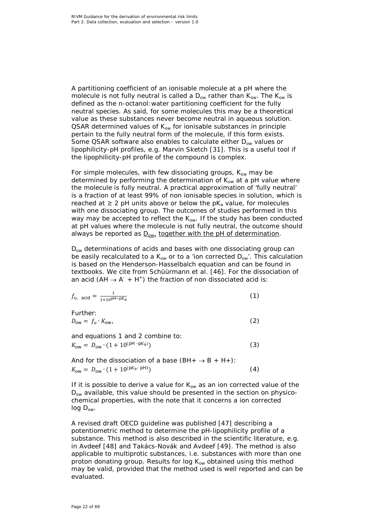A partitioning coefficient of an ionisable molecule at a pH where the molecule is not fully neutral is called a  $D_{ow}$  rather than  $K_{ow}$ . The  $K_{ow}$  is defined as the *n*-octanol:water partitioning coefficient for the fully neutral species. As said, for some molecules this may be a theoretical value as these substances never become neutral in aqueous solution.  $\triangle$ SAR determined values of  $K_{ow}$  for ionisable substances in principle pertain to the fully neutral form of the molecule, if this form exists. Some QSAR software also enables to calculate either  $D_{ow}$  values or lipophilicity-pH profiles, e.g. Marvin Sketch [\[31\]](#page-56-2). This is a useful tool if the lipophilicity-pH profile of the compound is complex.

For simple molecules, with few dissociating groups,  $K_{ow}$  may be determined by performing the determination of  $K_{ow}$  at a pH value where the molecule is fully neutral. A practical approximation of 'fully neutral' is a fraction of at least 99% of non ionisable species in solution, which is reached at  $\geq 2$  pH units above or below the p $K_a$  value, for molecules with one dissociating group. The outcomes of studies performed in this way may be accepted to reflect the  $K_{ow}$ . If the study has been conducted at pH values where the molecule is not fully neutral, the outcome should always be reported as  $D_{ow}$  together with the pH of determination.

D<sub>ow</sub> determinations of acids and bases with one dissociating group can be easily recalculated to a  $K_{ow}$  or to a 'ion corrected  $D_{ow}$ '. This calculation is based on the Henderson-Hasselbalch equation and can be found in textbooks. We cite from Schüürmann et al. [\[46\]](#page-57-0). For the dissociation of an acid (AH  $\rightarrow$  A<sup>-</sup> + H<sup>+</sup>) the fraction of non dissociated acid is:

$$
f_{u, \text{ acid}} = \frac{1}{1 + 10^{pH - pK_3}}
$$
 (1)

Further:

 $D_{\text{ow}} = f_{\text{u}} \cdot K_{\text{ow}}$  (2)

and equations 1 and 2 combine to:  $K_{\text{ow}} = D_{\text{ow}} \cdot (1 + 10^{(\text{pH } - \text{pK}_{\text{a}})})$ )  $(3)$ 

And for the dissociation of a base  $(BH + \rightarrow B + H +)$ :  $K_{\text{ow}} = D_{\text{ow}} \cdot (1 + 10^{(\text{p}K_{\text{a}} - \text{pH})})$  (4)

If it is possible to derive a value for  $K_{ow}$  as an ion corrected value of the D<sub>ow</sub> available, this value should be presented in the section on physicochemical properties, with the note that it concerns a ion corrected  $log D_{ow}$ .

A revised draft OECD guideline was published [\[47\]](#page-57-1) describing a potentiometric method to determine the pH-lipophilicity profile of a substance. This method is also described in the scientific literature, e.g. in Avdeef [\[48\]](#page-57-2) and Takács-Novák and Avdeef [\[49\]](#page-57-3). The method is also applicable to multiprotic substances, i.e. substances with more than one proton donating group. Results for log  $K_{ow}$  obtained using this method may be valid, provided that the method used is well reported and can be evaluated.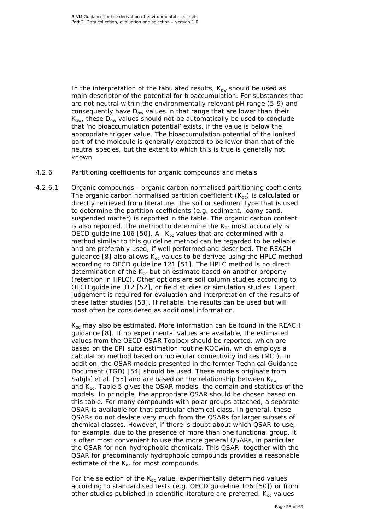In the interpretation of the tabulated results,  $K_{ow}$  should be used as main descriptor of the potential for bioaccumulation. For substances that are not neutral within the environmentally relevant pH range (5-9) and consequently have  $D_{ow}$  values in that range that are lower than their  $K_{ow}$ , these  $D_{ow}$  values should not be automatically be used to conclude that 'no bioaccumulation potential' exists, if the value is below the appropriate trigger value. The bioaccumulation potential of the ionised part of the molecule is generally expected to be lower than that of the neutral species, but the extent to which this is true is generally not known.

### <span id="page-22-0"></span>*4.2.6 Partitioning coefficients for organic compounds and metals*

4.2.6.1 Organic compounds - organic carbon normalised partitioning coefficients The organic carbon normalised partition coefficient  $(K_{oc})$  is calculated or directly retrieved from literature. The soil or sediment type that is used to determine the partition coefficients (e.g. sediment, loamy sand, suspended matter) is reported in the table. The organic carbon content is also reported. The method to determine the  $K_{oc}$  most accurately is OECD guideline 106 [\[50\]](#page-57-4). All  $K_{oc}$  values that are determined with a method similar to this guideline method can be regarded to be reliable and are preferably used, if well performed and described. The REACH guidance [\[8\]](#page-54-9) also allows  $K_{oc}$  values to be derived using the HPLC method according to OECD guideline 121 [\[51\]](#page-57-5). The HPLC method is no direct determination of the  $K_{oc}$  but an estimate based on another property (retention in HPLC). Other options are soil column studies according to OECD guideline 312 [\[52\]](#page-57-6), or field studies or simulation studies. Expert judgement is required for evaluation and interpretation of the results of these latter studies [\[53\]](#page-57-7). If reliable, the results can be used but will most often be considered as additional information.

> $K_{oc}$  may also be estimated. More information can be found in the REACH guidance [\[8\]](#page-54-9). If no experimental values are available, the estimated values from the OECD QSAR Toolbox should be reported, which are based on the EPI suite estimation routine KOCwin, which employs a calculation method based on molecular connectivity indices (MCI). In addition, the QSAR models presented in the former Technical Guidance Document (TGD) [\[54\]](#page-57-8) should be used. These models originate from Sabjlić et al. [\[55\]](#page-58-0) and are based on the relationship between  $K_{ow}$ and  $K_{oc}$ . Table 5 gives the QSAR models, the domain and statistics of the models. In principle, the appropriate QSAR should be chosen based on this table. For many compounds with polar groups attached, a separate QSAR is available for that particular chemical class. In general, these QSARs do not deviate very much from the QSARs for larger subsets of chemical classes. However, if there is doubt about which QSAR to use, for example, due to the presence of more than one functional group, it is often most convenient to use the more general QSARs, in particular the QSAR for non-hydrophobic chemicals. This QSAR, together with the QSAR for predominantly hydrophobic compounds provides a reasonable estimate of the  $K_{oc}$  for most compounds.

For the selection of the  $K_{oc}$  value, experimentally determined values according to standardised tests (e.g. OECD guideline 106;[\[50\]](#page-57-4)) or from other studies published in scientific literature are preferred.  $K_{oc}$  values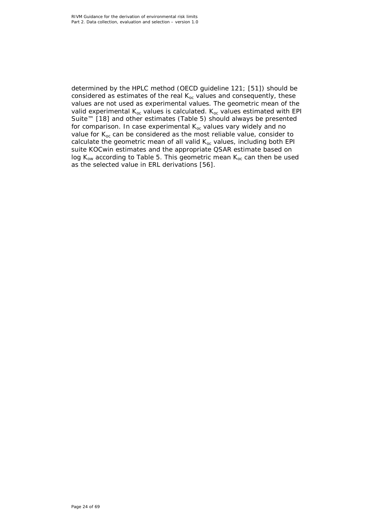determined by the HPLC method (OECD guideline 121; [\[51\]](#page-57-5)) should be considered as estimates of the real  $K_{oc}$  values and consequently, these values are not used as experimental values. The geometric mean of the valid experimental  $K_{oc}$  values is calculated.  $K_{oc}$  values estimated with EPI Suite™ [\[18\]](#page-55-4) and other estimates (Table 5) should always be presented for comparison. In case experimental  $K_{oc}$  values vary widely and no value for  $K_{oc}$  can be considered as the most reliable value, consider to calculate the geometric mean of all valid  $K_{oc}$  values, including both EPI suite KOCwin estimates and the appropriate QSAR estimate based on log  $K_{ow}$  according to Table 5. This geometric mean  $K_{oc}$  can then be used as the selected value in ERL derivations [\[56\]](#page-58-1).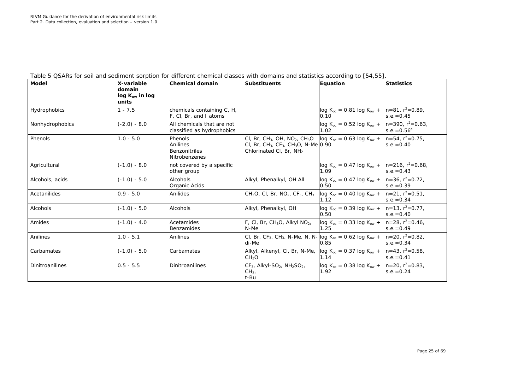| <b>Model</b>    | X-variable<br>domain<br>$log K_{ow}$ in $log$<br>units | <b>Chemical domain</b>                                       | <b>Substituents</b>                                                                                                                                                                                                                                                 | Equation                                                                                  | <b>Statistics</b> |
|-----------------|--------------------------------------------------------|--------------------------------------------------------------|---------------------------------------------------------------------------------------------------------------------------------------------------------------------------------------------------------------------------------------------------------------------|-------------------------------------------------------------------------------------------|-------------------|
| Hydrophobics    | $1 - 7.5$                                              | chemicals containing C, H,<br>F, CI, Br, and I atoms         |                                                                                                                                                                                                                                                                     | $\log K_{\text{oc}} = 0.81 \log K_{\text{ow}} + \ln = 81$ , $r^2 = 0.89$ ,<br>0.10        | $s.e. = 0.45$     |
| Nonhydrophobics | $(-2.0) - 8.0$                                         | All chemicals that are not<br>classified as hydrophobics     |                                                                                                                                                                                                                                                                     | $\log K_{\text{oc}} = 0.52 \log K_{\text{ow}} + \ln = 390, r^2 = 0.63,$<br>1.02           | $s.e. = 0.56^a$   |
| Phenols         | $1.0 - 5.0$                                            | Phenols<br>Anilines<br><b>Benzonitriles</b><br>Nitrobenzenes | CI, Br, CH <sub>3</sub> , OH, NO <sub>2</sub> , CH <sub>3</sub> O  log K <sub>oc</sub> = 0.63 log K <sub>ow</sub> +  n=54, r <sup>2</sup> =0.75,<br>CI, Br, CH <sub>3</sub> , CF <sub>3</sub> , CH <sub>3</sub> O, N-Me 0.90<br>Chlorinated CI, Br, NH <sub>2</sub> |                                                                                           | $s.e. = 0.40$     |
| Agricultural    | $(-1.0) - 8.0$                                         | not covered by a specific<br>other group                     |                                                                                                                                                                                                                                                                     | $\log K_{\text{oc}} = 0.47 \log K_{\text{ow}} + \ln=216$ , $r^2 = 0.68$ ,<br>1.09         | $s.e. = 0.43$     |
| Alcohols, acids | $(-1.0) - 5.0$                                         | Alcohols<br>Organic Acids                                    | Alkyl, Phenalkyl, OH All                                                                                                                                                                                                                                            | $\log K_{\text{oc}} = 0.47 \log K_{\text{ow}} + \ln = 36$ , $r^2 = 0.72$ ,<br>0.50        | $s.e. = 0.39$     |
| Acetanilides    | $0.9 - 5.0$                                            | Anilides                                                     | CH <sub>3</sub> O, Cl, Br, NO <sub>2</sub> , CF <sub>3</sub> , CH <sub>3</sub> $\log K_{\text{oc}} = 0.40 \log K_{\text{ow}} + \ln = 21$ , r <sup>2</sup> =0.51,                                                                                                    | 1.12                                                                                      | $s.e. = 0.34$     |
| Alcohols        | $(-1.0) - 5.0$                                         | Alcohols                                                     | Alkyl, Phenalkyl, OH                                                                                                                                                                                                                                                | $\log K_{\text{oc}} = 0.39 \log K_{\text{ow}} + \ln = 13$ , r <sup>2</sup> =0.77,<br>0.50 | $s.e. = 0.40$     |
| Amides          | $(-1.0) - 4.0$                                         | Acetamides<br>Benzamides                                     | F, CI, Br, CH <sub>3</sub> O, Alkyl NO <sub>2</sub> ,<br>$N-Me$                                                                                                                                                                                                     | $\log K_{\text{oc}} = 0.33 \log K_{\text{ow}} + \ln = 28$ , r <sup>2</sup> =0.46,<br>1.25 | $s.e. = 0.49$     |
| Anilines        | $1.0 - 5.1$                                            | Anilines                                                     | CI, Br, CF <sub>3</sub> , CH <sub>3</sub> , N-Me, N, N- log K <sub>oc</sub> = 0.62 log K <sub>ow</sub> + $ n=20$ , r <sup>2</sup> =0.82,<br>di-Me                                                                                                                   | 0.85                                                                                      | $s.e. = 0.34$     |
| Carbamates      | $(-1.0) - 5.0$                                         | Carbamates                                                   | Alkyl, Alkenyl, Cl, Br, N-Me, $\log K_{\infty} = 0.37 \log K_{\infty} + \ln = 43$ , $r^2 = 0.58$ ,<br>CH <sub>3</sub> O                                                                                                                                             | 1.14                                                                                      | $s.e. = 0.41$     |
| Dinitroanilines | $0.5 - 5.5$                                            | Dinitroanilines                                              | $CF_3$ , Alkyl-SO <sub>2</sub> , NH <sub>2</sub> SO <sub>2</sub> ,<br>CH <sub>3</sub><br>t-Bu                                                                                                                                                                       | $\log K_{\text{oc}} = 0.38 \log K_{\text{ow}} + \ln = 20$ , $r^2 = 0.83$ ,<br>1.92        | $s.e. = 0.24$     |

#### *Table 5 QSARs for soil and sediment sorption for different chemical classes with domains and statistics according to [\[54](#page-57-9)[,55\]](#page-58-2).*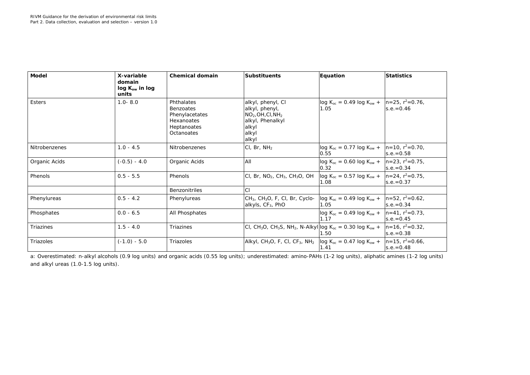| <b>Model</b>  | X-variable<br>domain<br>$log Kow$ in $log$<br>units | <b>Chemical domain</b>                                                               | <b>Substituents</b>                                                                                                                                       | Equation                                                                         | <b>Statistics</b>                      |
|---------------|-----------------------------------------------------|--------------------------------------------------------------------------------------|-----------------------------------------------------------------------------------------------------------------------------------------------------------|----------------------------------------------------------------------------------|----------------------------------------|
| Esters        | $1.0 - 8.0$                                         | Phthalates<br>Benzoates<br>Phenylacetates<br>Hexanoates<br>Heptanoates<br>Octanoates | alkyl, phenyl, Cl<br>alkyl, phenyl,<br>$NO2, OH, Cl, NH2$<br>alkyl, Phenalkyl<br>alkyl<br>alkyl<br>alkyl                                                  | $log K_{oc} = 0.49 log K_{ow} +$<br>1.05                                         | $n=25$ , $r^2=0.76$ ,<br>$s.e. = 0.46$ |
| Nitrobenzenes | $1.0 - 4.5$                                         | Nitrobenzenes                                                                        | CI, Br, $NH2$                                                                                                                                             | $\log K_{\text{oc}} = 0.77 \log K_{\text{ow}} + \ln[10, r^2 = 0.70]$<br>0.55     | $s.e. = 0.58$                          |
| Organic Acids | $(-0.5) - 4.0$                                      | Organic Acids                                                                        | All                                                                                                                                                       | $\log K_{\text{oc}} = 0.60 \log K_{\text{ow}} + \ln=23$ , $r^2 = 0.75$ ,<br>0.32 | $s.e. = 0.34$                          |
| Phenols       | $0.5 - 5.5$                                         | Phenols                                                                              | CI, Br, NO <sub>2</sub> , CH <sub>3</sub> , CH <sub>3</sub> O, OH                                                                                         | $\log K_{\text{oc}} = 0.57 \log K_{\text{ow}} + \ln=24$ , $r^2 = 0.75$ ,<br>1.08 | $s.e. = 0.37$                          |
|               |                                                     | <b>Benzonitriles</b>                                                                 | <b>CI</b>                                                                                                                                                 |                                                                                  |                                        |
| Phenylureas   | $0.5 - 4.2$                                         | Phenylureas                                                                          | $CH3$ , CH <sub>3</sub> O, F, CI, Br, Cyclo-<br>alkyls, CF <sub>3</sub> , PhO                                                                             | $log K_{oc} = 0.49 log K_{ow} +$<br>1.05                                         | $n=52$ , $r^2=0.62$ ,<br>$s.e. = 0.34$ |
| Phosphates    | $0.0 - 6.5$                                         | All Phosphates                                                                       |                                                                                                                                                           | $log K_{oc} = 0.49 log K_{ow} +  n=41, r^2=0.73,$<br>1.17                        | $s.e. = 0.45$                          |
| Triazines     | $1.5 - 4.0$                                         | Triazines                                                                            | CI, CH <sub>3</sub> O, CH <sub>3</sub> S, NH <sub>2</sub> , N-Alkyl log K <sub>oc</sub> = 0.30 log K <sub>ow</sub> + $\vert n=16$ , r <sup>2</sup> =0.32, | 1.50                                                                             | $s.e. = 0.38$                          |
| Triazoles     | $(-1.0) - 5.0$                                      | Triazoles                                                                            | Alkyl, CH <sub>3</sub> O, F, Cl, CF <sub>3</sub> , NH <sub>2</sub> $\log K_{\text{oc}} = 0.47 \log K_{\text{ow}} + \ln = 15$ , r <sup>2</sup> =0.66,      | 1.41                                                                             | $s.e. = 0.48$                          |

a: Overestimated: n-alkyl alcohols (0.9 log units) and organic acids (0.55 log units); underestimated: amino-PAHs (1-2 log units), aliphatic amines (1-2 log units) and alkyl ureas (1.0-1.5 log units).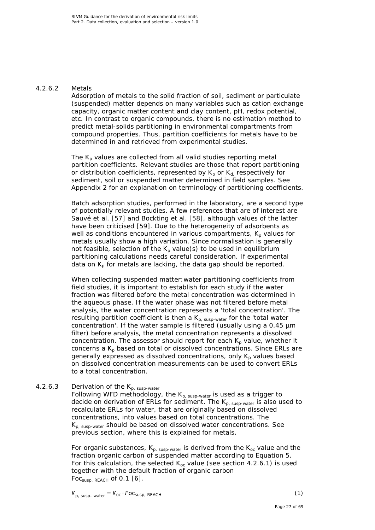# 4.2.6.2 Metals

Adsorption of metals to the solid fraction of soil, sediment or particulate (suspended) matter depends on many variables such as cation exchange capacity, organic matter content and clay content, pH, redox potential, etc. In contrast to organic compounds, there is no estimation method to predict metal-solids partitioning in environmental compartments from compound properties. Thus, partition coefficients for metals have to be determined in and retrieved from experimental studies.

The  $K_p$  values are collected from all valid studies reporting metal partition coefficients. Relevant studies are those that report partitioning or distribution coefficients, represented by  $K_p$  or  $K_{d}$ , respectively for sediment, soil or suspended matter determined in field samples. See Appendix 2 for an explanation on terminology of partitioning coefficients.

Batch adsorption studies, performed in the laboratory, are a second type of potentially relevant studies. A few references that are of interest are Sauvé et al. [\[57\]](#page-58-3) and Bockting et al. [\[58\]](#page-58-4), although values of the latter have been criticised [\[59\]](#page-58-5). Due to the heterogeneity of adsorbents as well as conditions encountered in various compartments,  $K_p$  values for metals usually show a high variation. Since normalisation is generally not feasible, selection of the  $K_p$  value(s) to be used in equilibrium partitioning calculations needs careful consideration. If experimental data on  $K_p$  for metals are lacking, the data gap should be reported.

When collecting suspended matter:water partitioning coefficients from field studies, it is important to establish for each study if the water fraction was filtered before the metal concentration was determined in the aqueous phase. If the water phase was not filtered before metal analysis, the water concentration represents a 'total concentration'. The resulting partition coefficient is then a  $K_{p, \text{ susp-water}}$  for the 'total water concentration'. If the water sample is filtered (usually using a 0.45 µm filter) before analysis, the metal concentration represents a dissolved concentration. The assessor should report for each  $K_p$  value, whether it concerns a  $K_p$  based on total or dissolved concentrations. Since ERLs are generally expressed as dissolved concentrations, only  $K_p$  values based on dissolved concentration measurements can be used to convert ERLs to a total concentration.

4.2.6.3 Derivation of the  $K_{p, \text{ susp-water}}$ 

Following WFD methodology, the  $K_{p, \text{ susp-water}}$  is used as a trigger to decide on derivation of ERLs for sediment. The  $K_{p, susp-water}$  is also used to recalculate ERLs for water, that are originally based on dissolved concentrations, into values based on total concentrations. The  $K_{p. susp-water}$  should be based on dissolved water concentrations. See previous section, where this is explained for metals.

For organic substances,  $K_{p, \text{ susp-water}}$  is derived from the  $K_{oc}$  value and the fraction organic carbon of suspended matter according to Equation 5. For this calculation, the selected  $K_{oc}$  value (see section 4.2.6.1) is used together with the default fraction of organic carbon FOC<sub>SUSD</sub>, REACH Of  $0.1$  [\[6\]](#page-54-11).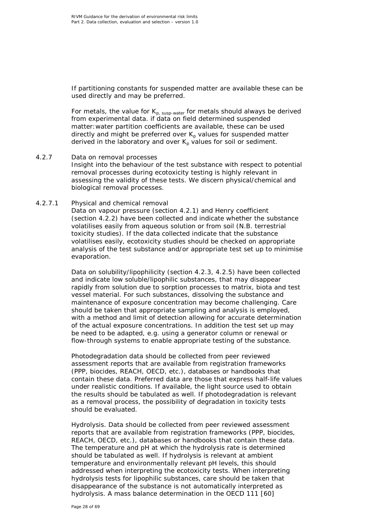If partitioning constants for suspended matter are available these can be used directly and may be preferred.

For metals, the value for  $K_{p, \text{ susp-water}}$  for metals should always be derived from experimental data. if data on field determined suspended matter:water partition coefficients are available, these can be used directly and might be preferred over  $K_p$  values for suspended matter derived in the laboratory and over  $K_p$  values for soil or sediment.

### <span id="page-27-0"></span>*4.2.7 Data on removal processes* Insight into the behaviour of the test substance with respect to potential removal processes during ecotoxicity testing is highly relevant in assessing the validity of these tests. We discern physical/chemical and biological removal processes.

#### 4.2.7.1 Physical and chemical removal

Data on vapour pressure (section 4.2.1) and Henry coefficient (section 4.2.2) have been collected and indicate whether the substance volatilises easily from aqueous solution or from soil (N.B. terrestrial toxicity studies). If the data collected indicate that the substance volatilises easily, ecotoxicity studies should be checked on appropriate analysis of the test substance and/or appropriate test set up to minimise evaporation.

Data on solubility/lipophilicity (section 4.2.3, 4.2.5) have been collected and indicate low soluble/lipophilic substances, that may disappear rapidly from solution due to sorption processes to matrix, biota and test vessel material. For such substances, dissolving the substance and maintenance of exposure concentration may become challenging. Care should be taken that appropriate sampling and analysis is employed, with a method and limit of detection allowing for accurate determination of the actual exposure concentrations. In addition the test set up may be need to be adapted, e.g. using a generator column or renewal or flow-through systems to enable appropriate testing of the substance.

Photodegradation data should be collected from peer reviewed assessment reports that are available from registration frameworks (PPP, biocides, REACH, OECD, etc.), databases or handbooks that contain these data. Preferred data are those that express half-life values under realistic conditions. If available, the light source used to obtain the results should be tabulated as well. If photodegradation is relevant as a removal process, the possibility of degradation in toxicity tests should be evaluated.

Hydrolysis. Data should be collected from peer reviewed assessment reports that are available from registration frameworks (PPP, biocides, REACH, OECD, etc.), databases or handbooks that contain these data. The temperature and pH at which the hydrolysis rate is determined should be tabulated as well. If hydrolysis is relevant at ambient temperature and environmentally relevant pH levels, this should addressed when interpreting the ecotoxicity tests. When interpreting hydrolysis tests for lipophilic substances, care should be taken that disappearance of the substance is not automatically interpreted as hydrolysis. A mass balance determination in the OECD 111 [\[60\]](#page-58-6)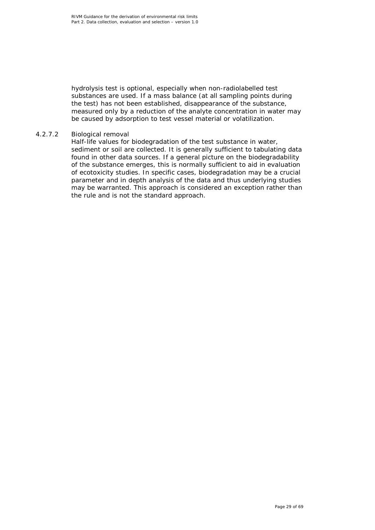hydrolysis test is optional, especially when non-radiolabelled test substances are used. If a mass balance (at all sampling points during the test) has not been established, disappearance of the substance, measured only by a reduction of the analyte concentration in water may be caused by adsorption to test vessel material or volatilization.

### 4.2.7.2 Biological removal

Half-life values for biodegradation of the test substance in water, sediment or soil are collected. It is generally sufficient to tabulating data found in other data sources. If a general picture on the biodegradability of the substance emerges, this is normally sufficient to aid in evaluation of ecotoxicity studies. In specific cases, biodegradation may be a crucial parameter and in depth analysis of the data and thus underlying studies may be warranted. This approach is considered an exception rather than the rule and is not the standard approach.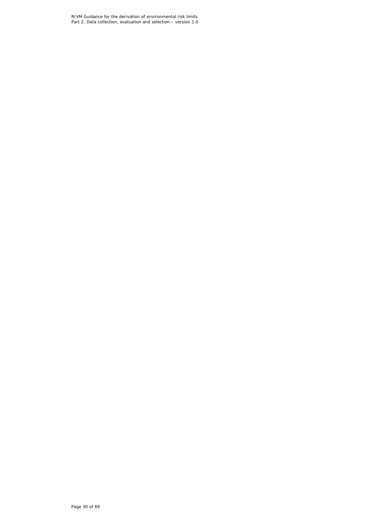RIVM Guidance for the derivation of environmental risk limits Part 2. Data collection, evaluation and selection – version 1.0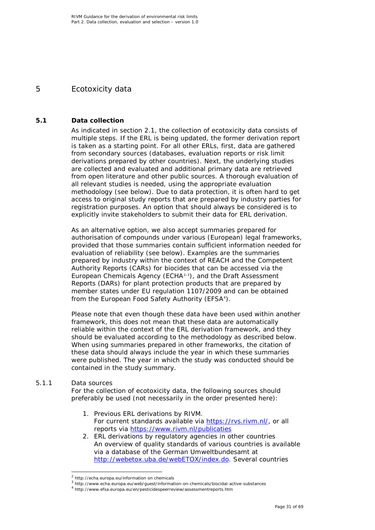# <span id="page-30-0"></span>5 Ecotoxicity data

### **5.1 Data collection**

<span id="page-30-1"></span>As indicated in section 2.1, the collection of ecotoxicity data consists of multiple steps. If the ERL is being updated, the former derivation report is taken as a starting point. For all other ERLs, first, data are gathered from secondary sources (databases, evaluation reports or risk limit derivations prepared by other countries). Next, the underlying studies are collected and evaluated and additional primary data are retrieved from open literature and other public sources. A thorough evaluation of all relevant studies is needed, using the appropriate evaluation methodology (see below). Due to data protection, it is often hard to get access to original study reports that are prepared by industry parties for registration purposes. An option that should always be considered is to explicitly invite stakeholders to submit their data for ERL derivation.

As an alternative option, we also accept summaries prepared for authorisation of compounds under various (European) legal frameworks, provided that those summaries contain sufficient information needed for evaluation of reliability (see below). Examples are the summaries prepared by industry within the context of REACH and the Competent Authority Reports (CARs) for biocides that can be accessed via the European Chemicals Agency (ECHA<sup>[2](#page-30-3),[3](#page-30-4)</sup>), and the Draft Assessment Reports (DARs) for plant protection products that are prepared by member states under EU regulation 1107/2009 and can be obtained from the European Food Safety Authority (EFSA<sup>[4](#page-30-5)</sup>).

Please note that even though these data have been used within another framework, this does not mean that these data are automatically reliable within the context of the ERL derivation framework, and they should be evaluated according to the methodology as described below. When using summaries prepared in other frameworks, the citation of these data should always include the year in which these summaries were published. The year in which the study was conducted should be contained in the study summary.

#### *5.1.1 Data sources*

<span id="page-30-2"></span>For the collection of ecotoxicity data, the following sources should preferably be used (not necessarily in the order presented here):

- 1. Previous ERL derivations by RIVM. For current standards available via [https://rvs.rivm.nl/,](https://rvs.rivm.nl/) or all reports via<https://www.rivm.nl/publicaties>
- 2. ERL derivations by regulatory agencies in other countries An overview of quality standards of various countries is available via a database of the German Umweltbundesamt at [http://webetox.uba.de/webETOX/index.do.](http://webetox.uba.de/webETOX/index.do) Several countries

<span id="page-30-3"></span> $2$  http://echa.europa.eu/information on chemicals

<sup>3</sup> http://www.echa.europa.eu/web/guest/information-on-chemicals/biocidal-active-substances

<span id="page-30-5"></span><span id="page-30-4"></span><sup>4</sup> http://www.efsa.europa.eu/en/pesticidespeerreview/assessmentreports.htm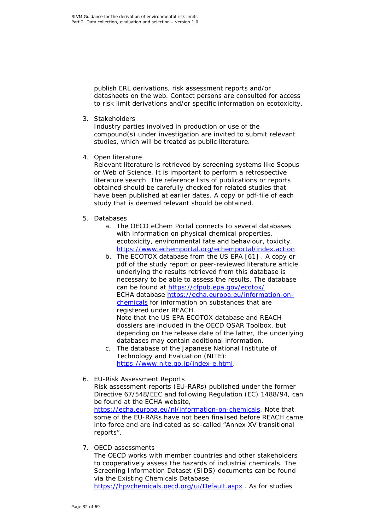publish ERL derivations, risk assessment reports and/or datasheets on the web. Contact persons are consulted for access to risk limit derivations and/or specific information on ecotoxicity.

3. Stakeholders

Industry parties involved in production or use of the compound(s) under investigation are invited to submit relevant studies, which will be treated as public literature.

4. Open literature

Relevant literature is retrieved by screening systems like Scopus or Web of Science. It is important to perform a retrospective literature search. The reference lists of publications or reports obtained should be carefully checked for related studies that have been published at earlier dates. A copy or pdf-file of each study that is deemed relevant should be obtained.

- 5. Databases
	- a. The OECD eChem Portal connects to several databases with information on physical chemical properties, ecotoxicity, environmental fate and behaviour, toxicity. <https://www.echemportal.org/echemportal/index.action>
	- b. The ECOTOX database from the US EPA [\[61\]](#page-58-7) . A copy or pdf of the study report or peer-reviewed literature article underlying the results retrieved from this database is necessary to be able to assess the results. The database can be found at<https://cfpub.epa.gov/ecotox/> ECHA database [https://echa.europa.eu/information-on](https://echa.europa.eu/information-on-chemicals)[chemicals](https://echa.europa.eu/information-on-chemicals) for information on substances that are registered under REACH. *Note that the US EPA ECOTOX database and REACH*

*dossiers are included in the OECD QSAR Toolbox, but depending on the release date of the latter, the underlying databases may contain additional information.* 

- c. The database of the Japanese National Institute of Technology and Evaluation (NITE): [https://www.nite.go.jp/index-e.html.](https://www.nite.go.jp/index-e.html)
- 6. EU-Risk Assessment Reports

Risk assessment reports (EU-RARs) published under the former Directive 67/548/EEC and following Regulation (EC) 1488/94, can be found at the ECHA website,

[https://echa.europa.eu/nl/information-on-chemicals.](https://echa.europa.eu/nl/information-on-chemicals) Note that some of the EU-RARs have not been finalised before REACH came into force and are indicated as so-called "Annex XV transitional reports".

7. OECD assessments

The OECD works with member countries and other stakeholders to cooperatively assess the hazards of industrial chemicals. The Screening Information Dataset (SIDS) documents can be found via the Existing Chemicals Database

<https://hpvchemicals.oecd.org/ui/Default.aspx> . As for studies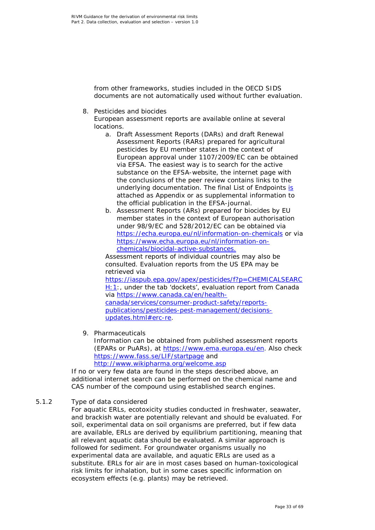from other frameworks, studies included in the OECD SIDS documents are not automatically used without further evaluation.

8. Pesticides and biocides

European assessment reports are available online at several locations.

- a. Draft Assessment Reports (DARs) and draft Renewal Assessment Reports (RARs) prepared for agricultural pesticides by EU member states in the context of European approval under 1107/2009/EC can be obtained via EFSA. The easiest way is to search for the active substance on the EFSA-website, the internet page with the conclusions of the peer review contains links to the underlying documentation. The final List of Endpoints is attached as Appendix or as supplemental information to the official publication in the EFSA-journal.
- b. Assessment Reports (ARs) prepared for biocides by EU member states in the context of European authorisation under 98/9/EC and 528/2012/EC can be obtained via <https://echa.europa.eu/nl/information-on-chemicals> or via [https://www.echa.europa.eu/nl/information-on](https://www.echa.europa.eu/nl/information-on-chemicals/biocidal-active-substances)[chemicals/biocidal-active-substances.](https://www.echa.europa.eu/nl/information-on-chemicals/biocidal-active-substances)

Assessment reports of individual countries may also be consulted. Evaluation reports from the US EPA may be retrieved via

[https://iaspub.epa.gov/apex/pesticides/f?p=CHEMICALSEARC](https://iaspub.epa.gov/apex/pesticides/f?p=CHEMICALSEARCH:1) [H:1:](https://iaspub.epa.gov/apex/pesticides/f?p=CHEMICALSEARCH:1), under the tab 'dockets', evaluation report from Canada via [https://www.canada.ca/en/health](https://www.canada.ca/en/health-canada/services/consumer-product-safety/reports-publications/pesticides-pest-management/decisions-updates.html#erc-re)[canada/services/consumer-product-safety/reports](https://www.canada.ca/en/health-canada/services/consumer-product-safety/reports-publications/pesticides-pest-management/decisions-updates.html#erc-re)[publications/pesticides-pest-management/decisions](https://www.canada.ca/en/health-canada/services/consumer-product-safety/reports-publications/pesticides-pest-management/decisions-updates.html#erc-re)[updates.html#erc-re.](https://www.canada.ca/en/health-canada/services/consumer-product-safety/reports-publications/pesticides-pest-management/decisions-updates.html#erc-re)

9. Pharmaceuticals

Information can be obtained from published assessment reports (EPARs or PuARs), at [https://www.ema.europa.eu/en.](https://www.ema.europa.eu/en) Also check <https://www.fass.se/LIF/startpage> and <http://www.wikipharma.org/welcome.asp>

If no or very few data are found in the steps described above, an additional internet search can be performed on the chemical name and CAS number of the compound using established search engines.

### *5.1.2 Type of data considered*

<span id="page-32-0"></span>For aquatic ERLs, ecotoxicity studies conducted in freshwater, seawater, and brackish water are potentially relevant and should be evaluated. For soil, experimental data on soil organisms are preferred, but if few data are available, ERLs are derived by equilibrium partitioning, meaning that all relevant aquatic data should be evaluated. A similar approach is followed for sediment. For groundwater organisms usually no experimental data are available, and aquatic ERLs are used as a substitute. ERLs for air are in most cases based on human-toxicological risk limits for inhalation, but in some cases specific information on ecosystem effects (e.g. plants) may be retrieved.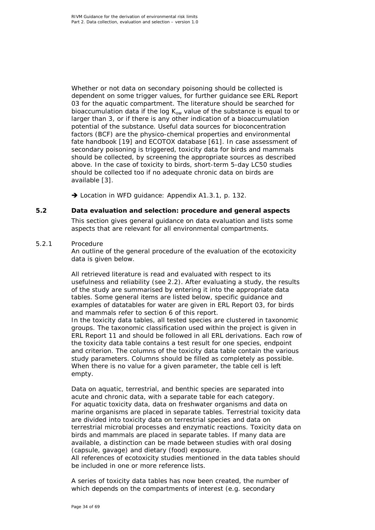Whether or not data on secondary poisoning should be collected is dependent on some trigger values, for further guidance see ERL Report 03 for the aquatic compartment. The literature should be searched for bioaccumulation data if the log  $K_{ow}$  value of the substance is equal to or larger than 3, or if there is any other indication of a bioaccumulation potential of the substance. Useful data sources for bioconcentration factors (BCF) are the physico-chemical properties and environmental fate handbook [\[19\]](#page-55-5) and ECOTOX database [\[61\]](#page-58-7). In case assessment of secondary poisoning is triggered, toxicity data for birds and mammals should be collected, by screening the appropriate sources as described above. In the case of toxicity to birds, short-term 5-day LC50 studies should be collected too if no adequate chronic data on birds are available [\[3\]](#page-54-3).

→ Location in WFD guidance: Appendix A1.3.1, p. 132.

### **5.2 Data evaluation and selection: procedure and general aspects**

<span id="page-33-0"></span>This section gives general guidance on data evaluation and lists some aspects that are relevant for all environmental compartments.

#### *5.2.1 Procedure*

<span id="page-33-1"></span>An outline of the general procedure of the evaluation of the ecotoxicity data is given below.

All retrieved literature is read and evaluated with respect to its usefulness and reliability (see 2.2). After evaluating a study, the results of the study are summarised by entering it into the appropriate data tables. Some general items are listed below, specific guidance and examples of datatables for water are given in ERL Report 03, for birds and mammals refer to section 6 of this report.

In the toxicity data tables, all tested species are clustered in taxonomic groups. The taxonomic classification used within the project is given in ERL Report 11 and should be followed in all ERL derivations. Each row of the toxicity data table contains a test result for one species, endpoint and criterion. The columns of the toxicity data table contain the various study parameters. Columns should be filled as completely as possible. When there is no value for a given parameter, the table cell is left empty.

Data on aquatic, terrestrial, and benthic species are separated into acute and chronic data, with a separate table for each category. For aquatic toxicity data, data on freshwater organisms and data on marine organisms are placed in separate tables. Terrestrial toxicity data are divided into toxicity data on terrestrial species and data on terrestrial microbial processes and enzymatic reactions. Toxicity data on birds and mammals are placed in separate tables. If many data are available, a distinction can be made between studies with oral dosing (capsule, gavage) and dietary (food) exposure. All references of ecotoxicity studies mentioned in the data tables should

be included in one or more reference lists.

A series of toxicity data tables has now been created, the number of which depends on the compartments of interest (e.g. secondary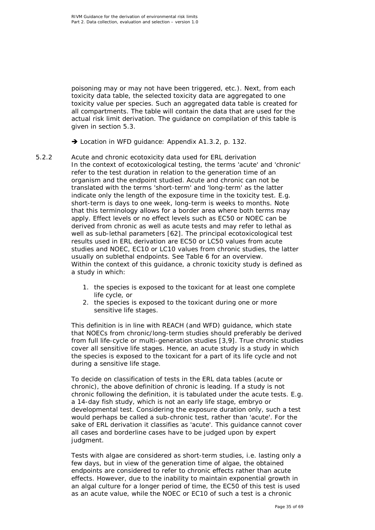poisoning may or may not have been triggered, etc.). Next, from each toxicity data table, the selected toxicity data are aggregated to *one toxicity value per species*. Such an aggregated data table is created for all compartments. The table will contain the data that are used for the actual risk limit derivation. The guidance on compilation of this table is given in section 5.3.

<span id="page-34-0"></span>→ Location in WFD quidance: Appendix A1.3.2, p. 132.

- *5.2.2 Acute and chronic ecotoxicity data used for ERL derivation* In the context of ecotoxicological testing, the terms 'acute' and 'chronic' refer to the test duration in relation to the generation time of an organism and the endpoint studied. Acute and chronic can not be translated with the terms 'short-term' and 'long-term' as the latter indicate only the length of the exposure time in the toxicity test. E.g. short-term is days to one week, long-term is weeks to months. Note that this terminology allows for a border area where both terms may apply. Effect levels or no effect levels such as EC50 or NOEC can be derived from chronic as well as acute tests and may refer to lethal as well as sub-lethal parameters [\[62\]](#page-58-8). The principal ecotoxicological test results used in ERL derivation are EC50 or LC50 values from acute studies and NOEC, EC10 or LC10 values from chronic studies, the latter usually on sublethal endpoints. See Table 6 for an overview. Within the context of this guidance, a chronic toxicity study is defined as a study in which:
	- 1. the species is exposed to the toxicant for at least one complete life cycle, or
	- 2. the species is exposed to the toxicant during one or more sensitive life stages.

This definition is in line with REACH (and WFD) guidance, which state that NOECs from chronic/long-term studies should preferably be derived from full life-cycle or multi-generation studies [\[3,](#page-54-3)[9\]](#page-54-4). True chronic studies cover all sensitive life stages. Hence, an acute study is a study in which the species is exposed to the toxicant for a part of its life cycle and not during a sensitive life stage.

To decide on classification of tests in the ERL data tables (acute or chronic), the above definition of chronic is leading. If a study is not chronic following the definition, it is tabulated under the acute tests. E.g. a 14-day fish study, which is not an early life stage, embryo or developmental test. Considering the exposure duration only, such a test would perhaps be called a sub-chronic test, rather than 'acute'. For the sake of ERL derivation it classifies as 'acute'. This guidance cannot cover all cases and borderline cases have to be judged upon by expert judgment.

Tests with algae are considered as short-term studies, i.e. lasting only a few days, but in view of the generation time of algae, the obtained endpoints are considered to refer to chronic effects rather than acute effects. However, due to the inability to maintain exponential growth in an algal culture for a longer period of time, the EC50 of this test is used as an acute value, while the NOEC or EC10 of such a test is a chronic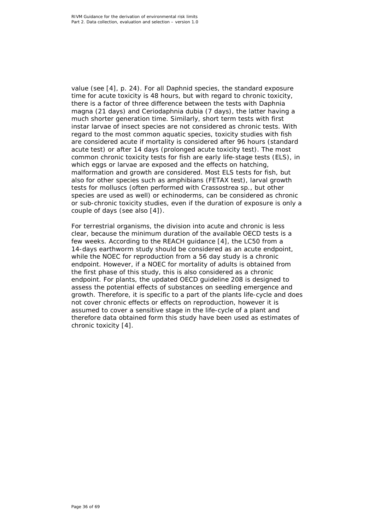value (see [\[4\]](#page-54-7), p. 24). For all Daphnid species, the standard exposure time for acute toxicity is 48 hours, but with regard to chronic toxicity, there is a factor of three difference between the tests with *Daphnia magna* (21 days) and *Ceriodaphnia dubia* (7 days), the latter having a much shorter generation time. Similarly, short term tests with first instar larvae of insect species are not considered as chronic tests. With regard to the most common aquatic species, toxicity studies with fish are considered acute if mortality is considered after 96 hours (standard acute test) or after 14 days (prolonged acute toxicity test). The most common chronic toxicity tests for fish are early life-stage tests (ELS), in which eggs or larvae are exposed and the effects on hatching, malformation and growth are considered. Most ELS tests for fish, but also for other species such as amphibians (FETAX test), larval growth tests for molluscs (often performed with *Crassostrea* sp., but other species are used as well) or echinoderms, can be considered as chronic or sub-chronic toxicity studies, even if the duration of exposure is only a couple of days (see also [\[4\]](#page-54-7)).

For terrestrial organisms, the division into acute and chronic is less clear, because the minimum duration of the available OECD tests is a few weeks. According to the REACH guidance [\[4\]](#page-54-7), the LC50 from a 14-days earthworm study should be considered as an acute endpoint, while the NOEC for reproduction from a 56 day study is a chronic endpoint. However, if a NOEC for mortality of adults is obtained from the first phase of this study, this is also considered as a chronic endpoint. For plants, the updated OECD guideline 208 is designed to assess the potential effects of substances on seedling emergence and growth. Therefore, it is specific to a part of the plants life-cycle and does not cover chronic effects or effects on reproduction, however it is assumed to cover a sensitive stage in the life-cycle of a plant and therefore data obtained form this study have been used as estimates of chronic toxicity [\[4\]](#page-54-7).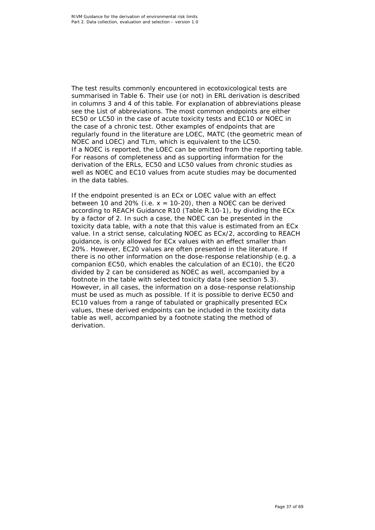The test results commonly encountered in ecotoxicological tests are summarised in Table 6. Their use (or not) in ERL derivation is described in columns 3 and 4 of this table. For explanation of abbreviations please see the List of abbreviations. The most common endpoints are either EC50 or LC50 in the case of acute toxicity tests and EC10 or NOEC in the case of a chronic test. Other examples of endpoints that are regularly found in the literature are LOEC, MATC (the geometric mean of NOEC and LOEC) and TLm, which is equivalent to the LC50. If a NOEC is reported, the LOEC can be omitted from the reporting table. For reasons of completeness and as supporting information for the derivation of the ERLs, EC50 and LC50 values from chronic studies as well as NOEC and EC10 values from acute studies may be documented in the data tables.

If the endpoint presented is an ECx or LOEC value with an effect between 10 and 20% (i.e.  $x = 10-20$ ), then a NOEC can be derived according to REACH Guidance R10 (Table R.10-1), by dividing the ECx by a factor of 2. In such a case, the NOEC can be presented in the toxicity data table, with a note that this value is estimated from an ECx value. In a strict sense, calculating NOEC as ECx/2, according to REACH guidance, is only allowed for ECx values with an effect smaller than 20%. However, EC20 values are often presented in the literature. If there is no other information on the dose-response relationship (e.g. a companion EC50, which enables the calculation of an EC10), the EC20 divided by 2 can be considered as NOEC as well, accompanied by a footnote in the table with selected toxicity data (see section 5.3). However, in all cases, the information on a dose-response relationship must be used as much as possible. If it is possible to derive EC50 and EC10 values from a range of tabulated or graphically presented ECx values, these derived endpoints can be included in the toxicity data table as well, accompanied by a footnote stating the method of derivation.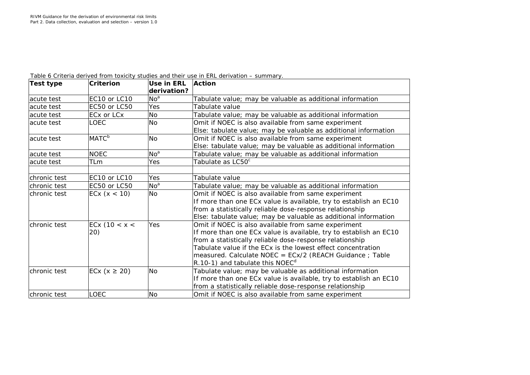| <b>Test type</b> | <b>Criterion</b>       | <b>Use in ERL</b><br>derivation? | <b>Action</b>                                                                                                                                                                                                                                                                                                                                                   |
|------------------|------------------------|----------------------------------|-----------------------------------------------------------------------------------------------------------------------------------------------------------------------------------------------------------------------------------------------------------------------------------------------------------------------------------------------------------------|
| acute test       | EC10 or LC10           | No <sup>a</sup>                  | Tabulate value; may be valuable as additional information                                                                                                                                                                                                                                                                                                       |
| acute test       | EC50 or LC50           | Yes                              | Tabulate value                                                                                                                                                                                                                                                                                                                                                  |
| lacute test      | ECx or LCx             | <b>No</b>                        | Tabulate value; may be valuable as additional information                                                                                                                                                                                                                                                                                                       |
| acute test       | <b>LOEC</b>            | <b>No</b>                        | Omit if NOEC is also available from same experiment<br>Else: tabulate value; may be valuable as additional information                                                                                                                                                                                                                                          |
| acute test       | MATC <sup>b</sup>      | No                               | Omit if NOEC is also available from same experiment<br>Else: tabulate value; may be valuable as additional information                                                                                                                                                                                                                                          |
| lacute test      | <b>NOEC</b>            | No <sup>a</sup>                  | Tabulate value; may be valuable as additional information                                                                                                                                                                                                                                                                                                       |
| lacute test      | <b>TLm</b>             | Yes                              | Tabulate as LC50 $^{\circ}$                                                                                                                                                                                                                                                                                                                                     |
| chronic test     | EC10 or LC10           | Yes                              | Tabulate value                                                                                                                                                                                                                                                                                                                                                  |
| lchronic test    | EC50 or LC50           | No <sup>a</sup>                  | Tabulate value; may be valuable as additional information                                                                                                                                                                                                                                                                                                       |
| chronic test     | $ECx$ ( $x < 10$ )     | <b>No</b>                        | Omit if NOEC is also available from same experiment<br>If more than one ECx value is available, try to establish an EC10<br>from a statistically reliable dose-response relationship<br>Else: tabulate value; may be valuable as additional information                                                                                                         |
| Ichronic test    | ECx $(10 < x <$<br>20) | <b>Yes</b>                       | Omit if NOEC is also available from same experiment<br>If more than one ECx value is available, try to establish an EC10<br>from a statistically reliable dose-response relationship<br>Tabulate value if the ECx is the lowest effect concentration<br>measured. Calculate NOEC = ECx/2 (REACH Guidance ; Table<br>R.10-1) and tabulate this NOEC <sup>d</sup> |
| chronic test     | ECx $(x \ge 20)$       | <b>No</b>                        | Tabulate value; may be valuable as additional information<br>If more than one ECx value is available, try to establish an EC10<br>from a statistically reliable dose-response relationship                                                                                                                                                                      |
| chronic test     | <b>LOEC</b>            | <b>No</b>                        | Omit if NOEC is also available from same experiment                                                                                                                                                                                                                                                                                                             |

*Table 6 Criteria derived from toxicity studies and their use in ERL derivation – summary.*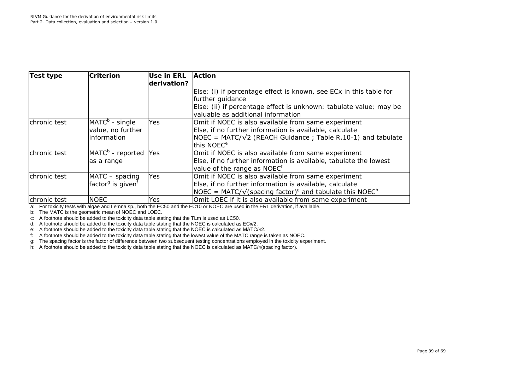| <b>Test type</b> | <b>Criterion</b>                                               | <b>Use in ERL</b> | <b>Action</b>                                                                                                                                                                                                      |
|------------------|----------------------------------------------------------------|-------------------|--------------------------------------------------------------------------------------------------------------------------------------------------------------------------------------------------------------------|
|                  |                                                                | derivation?       |                                                                                                                                                                                                                    |
|                  |                                                                |                   | Else: (i) if percentage effect is known, see ECx in this table for<br>further guidance<br>Else: (ii) if percentage effect is unknown: tabulate value; may be<br>valuable as additional information                 |
| chronic test     | MATC <sup>b</sup> - single<br>value, no further<br>information | Yes               | Omit if NOEC is also available from same experiment<br>Else, if no further information is available, calculate<br>$NOEC = MATC/\sqrt{2}$ (REACH Guidance; Table R.10-1) and tabulate<br>lthis NOEC <sup>e</sup>    |
| chronic test     | MATC <sup>b</sup> - reported<br>as a range                     | Yes               | Omit if NOEC is also available from same experiment<br>Else, if no further information is available, tabulate the lowest<br>value of the range as NOEC <sup>f</sup>                                                |
| chronic test     | MATC - spacing<br>factor <sup>g</sup> is given <sup>f</sup>    | Yes               | Omit if NOEC is also available from same experiment<br>Else, if no further information is available, calculate<br>$\vert$ NOEC = MATC/ $\sqrt{}$ (spacing factor) <sup>g</sup> and tabulate this NOEC <sup>h</sup> |
| chronic test     | <b>NOEC</b>                                                    | Yes               | Omit LOEC if it is also available from same experiment                                                                                                                                                             |

a: For toxicity tests with algae and Lemna sp., both the EC50 and the EC10 or NOEC are used in the ERL derivation, if available.

b: The MATC is the geometric mean of NOEC and LOEC.

c: A footnote should be added to the toxicity data table stating that the TLm is used as LC50.

d: A footnote should be added to the toxicity data table stating that the NOEC is calculated as ECx/2.

e: A footnote should be added to the toxicity data table stating that the NOEC is calculated as MATC/√2.

f: A footnote should be added to the toxicity data table stating that the lowest value of the MATC range is taken as NOEC.

g: The spacing factor is the factor of difference between two subsequent testing concentrations employed in the toxicity experiment.

h: A footnote should be added to the toxicity data table stating that the NOEC is calculated as MATC/√(spacing factor).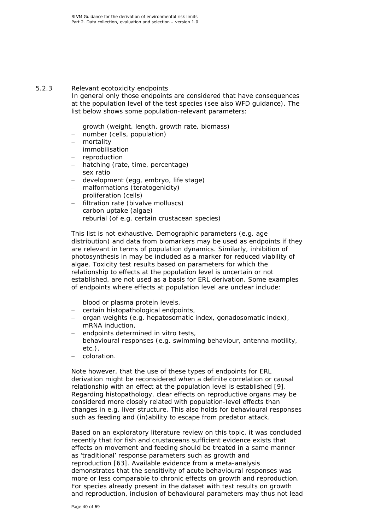### *5.2.3 Relevant ecotoxicity endpoints*

<span id="page-39-0"></span>In general only those endpoints are considered that have consequences at the population level of the test species (see also WFD guidance). The list below shows some population-relevant parameters:

- growth (weight, length, growth rate, biomass)
- number (cells, population)
- − mortality
- − immobilisation
- − reproduction
- − hatching (rate, time, percentage)
- − sex ratio
- − development (egg, embryo, life stage)
- − malformations (teratogenicity)
- − proliferation (cells)
- − filtration rate (bivalve molluscs)
- − carbon uptake (algae)
- − reburial (of e.g. certain crustacean species)

This list is not exhaustive. Demographic parameters (e.g. age distribution) and data from biomarkers may be used as endpoints if they are relevant in terms of population dynamics. Similarly, inhibition of photosynthesis in may be included as a marker for reduced viability of algae. Toxicity test results based on parameters for which the relationship to effects at the population level is uncertain or not established, are not used as a basis for ERL derivation. Some examples of endpoints where effects at population level are unclear include:

- − blood or plasma protein levels,
- − certain histopathological endpoints,
- − organ weights (e.g. hepatosomatic index, gonadosomatic index),
- − mRNA induction,
- − endpoints determined *in vitro* tests,
- − behavioural responses (e.g. swimming behaviour, antenna motility, etc.),
- − coloration.

Note however, that the use of these types of endpoints for ERL derivation might be reconsidered when a definite correlation or causal relationship with an effect at the population level is established [\[9\]](#page-54-4). Regarding histopathology, clear effects on reproductive organs may be considered more closely related with population-level effects than changes in e.g. liver structure. This also holds for behavioural responses such as feeding and (in)ability to escape from predator attack.

Based on an exploratory literature review on this topic, it was concluded recently that for fish and crustaceans sufficient evidence exists that effects on movement and feeding should be treated in a same manner as 'traditional' response parameters such as growth and reproduction [\[63\]](#page-58-9). Available evidence from a meta-analysis demonstrates that the sensitivity of acute behavioural responses was more or less comparable to chronic effects on growth and reproduction. For species already present in the dataset with test results on growth and reproduction, inclusion of behavioural parameters may thus not lead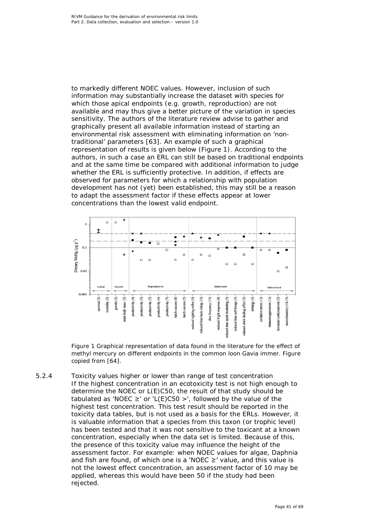to markedly different NOEC values. However, inclusion of such information may substantially increase the dataset with species for which those apical endpoints (e.g. growth, reproduction) are not available and may thus give a better picture of the variation in species sensitivity. The authors of the literature review advise to gather and graphically present all available information instead of starting an environmental risk assessment with eliminating information on 'nontraditional' parameters [\[63\]](#page-58-9). An example of such a graphical representation of results is given below (Figure 1). According to the authors, in such a case an ERL can still be based on traditional endpoints and at the same time be compared with additional information to judge whether the ERL is sufficiently protective. In addition, if effects are observed for parameters for which a relationship with population development has not (yet) been established, this may still be a reason to adapt the assessment factor if these effects appear at lower concentrations than the lowest valid endpoint.



<span id="page-40-0"></span>*Figure 1 Graphical representation of data found in the literature for the effect of methyl mercury on different endpoints in the common loon* Gavia immer*. Figure copied from [\[64\]](#page-58-10).*

*5.2.4 Toxicity values higher or lower than range of test concentration* If the highest concentration in an ecotoxicity test is not high enough to determine the NOEC or L(E)C50, the result of that study should be tabulated as 'NOEC  $\geq$ ' or 'L(E)C50 >', followed by the value of the highest test concentration. This test result should be reported in the toxicity data tables, but is not used as a basis for the ERLs. However, it is valuable information that a species from this taxon (or trophic level) has been tested and that it was not sensitive to the toxicant at a known concentration, especially when the data set is limited. Because of this, the presence of this toxicity value may influence the height of the assessment factor. For example: when NOEC values for algae, *Daphnia* and fish are found, of which one is a 'NOEC  $\geq'$  value, and this value is not the lowest effect concentration, an assessment factor of 10 may be applied, whereas this would have been 50 if the study had been rejected.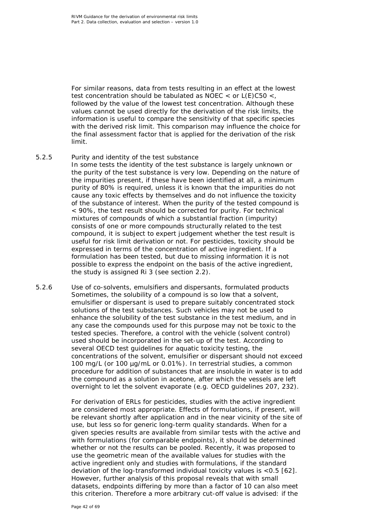For similar reasons, data from tests resulting in an effect at the lowest test concentration should be tabulated as NOEC  $\lt$  or L(E)C50  $\lt$ , followed by the value of the lowest test concentration. Although these values cannot be used directly for the derivation of the risk limits, the information is useful to compare the sensitivity of that specific species with the derived risk limit. This comparison may influence the choice for the final assessment factor that is applied for the derivation of the risk limit.

#### *5.2.5 Purity and identity of the test substance*

<span id="page-41-0"></span>In some tests the identity of the test substance is largely unknown or the purity of the test substance is very low. Depending on the nature of the impurities present, if these have been identified at all, a minimum purity of 80% is required, unless it is known that the impurities do not cause any toxic effects by themselves and do not influence the toxicity of the substance of interest. When the purity of the tested compound is < 90%, the test result should be corrected for purity. For technical mixtures of compounds of which a substantial fraction (impurity) consists of one or more compounds structurally related to the test compound, it is subject to expert judgement whether the test result is useful for risk limit derivation or not. For pesticides, toxicity should be expressed in terms of the concentration of active ingredient. If a formulation has been tested, but due to missing information it is not possible to express the endpoint on the basis of the active ingredient, the study is assigned Ri 3 (see section 2.2).

<span id="page-41-1"></span>*5.2.6 Use of co-solvents, emulsifiers and dispersants, formulated products* Sometimes, the solubility of a compound is so low that a solvent, emulsifier or dispersant is used to prepare suitably concentrated stock solutions of the test substances. Such vehicles may not be used to enhance the solubility of the test substance in the test medium, and in any case the compounds used for this purpose may not be toxic to the tested species. Therefore, a control with the vehicle (solvent control) used should be incorporated in the set-up of the test. According to several OECD test guidelines for aquatic toxicity testing, the concentrations of the solvent, emulsifier or dispersant should not exceed 100 mg/L (or 100 µg/mL or 0.01%). In terrestrial studies, a common procedure for addition of substances that are insoluble in water is to add the compound as a solution in acetone, after which the vessels are left overnight to let the solvent evaporate (e.g. OECD guidelines 207, 232).

> For derivation of ERLs for pesticides, studies with the active ingredient are considered most appropriate. Effects of formulations, if present, will be relevant shortly after application and in the near vicinity of the site of use, but less so for generic long-term quality standards. When for a given species results are available from similar tests with the active and with formulations (for comparable endpoints), it should be determined whether or not the results can be pooled. Recently, it was proposed to use the geometric mean of the available values for studies with the active ingredient only and studies with formulations, if the standard deviation of the log-transformed individual toxicity values is <0.5 [\[62\]](#page-58-8). However, further analysis of this proposal reveals that with small datasets, endpoints differing by more than a factor of 10 can also meet this criterion. Therefore a more arbitrary cut-off value is advised: if the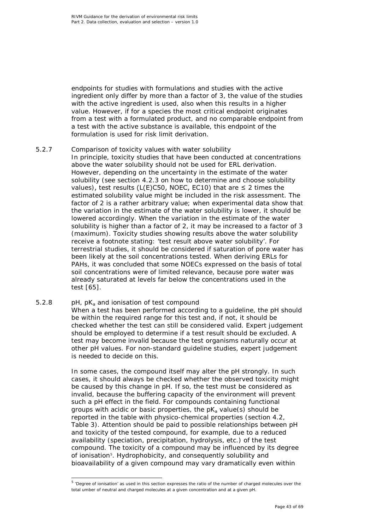endpoints for studies with formulations and studies with the active ingredient only differ by more than a factor of 3, the value of the studies with the active ingredient is used, also when this results in a higher value. However, if for a species the most critical endpoint originates from a test with a formulated product, and no comparable endpoint from a test with the active substance is available, this endpoint of the formulation is used for risk limit derivation.

#### *5.2.7 Comparison of toxicity values with water solubility*

<span id="page-42-0"></span>In principle, toxicity studies that have been conducted at concentrations above the water solubility should not be used for ERL derivation. However, depending on the uncertainty in the estimate of the water solubility (see section 4.2.3 on how to determine and choose solubility values), test results (L(E)C50, NOEC, EC10) that are  $\leq$  2 times the estimated solubility value might be included in the risk assessment. The factor of 2 is a rather arbitrary value; when experimental data show that the variation in the estimate of the water solubility is lower, it should be lowered accordingly. When the variation in the estimate of the water solubility is higher than a factor of 2, it may be increased to a factor of 3 (maximum). Toxicity studies showing results above the water solubility receive a footnote stating: 'test result above water solubility'. For terrestrial studies, it should be considered if saturation of pore water has been likely at the soil concentrations tested. When deriving ERLs for PAHs, it was concluded that some NOECs expressed on the basis of total soil concentrations were of limited relevance, because pore water was already saturated at levels far below the concentrations used in the test [\[65\]](#page-58-11).

### 5.2.8 pH, pK<sub>a</sub> and ionisation of test compound

<span id="page-42-1"></span>When a test has been performed according to a guideline, the pH should be within the required range for this test and, if not, it should be checked whether the test can still be considered valid. Expert judgement should be employed to determine if a test result should be excluded. A test may become invalid because the test organisms naturally occur at other pH values. For non-standard guideline studies, expert judgement is needed to decide on this.

In some cases, the compound itself may alter the pH strongly. In such cases, it should always be checked whether the observed toxicity might be caused by this change in pH. If so, the test must be considered as invalid, because the buffering capacity of the environment will prevent such a pH effect in the field. For compounds containing functional groups with acidic or basic properties, the  $pK_a$  value(s) should be reported in the table with physico-chemical properties (section 4.2, Table 3). Attention should be paid to possible relationships between pH and toxicity of the tested compound, for example, due to a reduced availability (speciation, precipitation, hydrolysis, etc.) of the test compound. The toxicity of a compound may be influenced by its degree of ionisation<sup>[5](#page-42-2)</sup>. Hydrophobicity, and consequently solubility and bioavailability of a given compound may vary dramatically even within

<span id="page-42-2"></span> <sup>5</sup> 'Degree of ionisation' as used in this section expresses the ratio of the number of charged molecules over the total umber of neutral and charged molecules at a given concentration and at a given pH.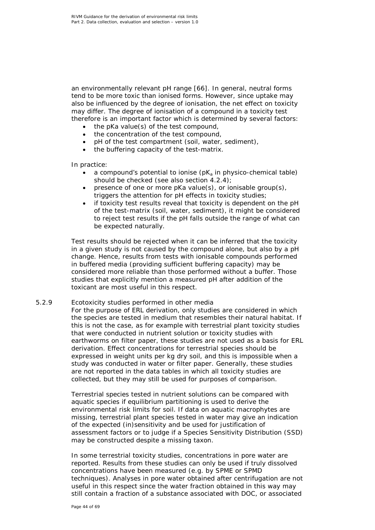an environmentally relevant pH range [\[66\]](#page-58-12). In general, neutral forms tend to be more toxic than ionised forms. However, since uptake may also be influenced by the degree of ionisation, the net effect on toxicity may differ. The degree of ionisation of a compound in a toxicity test therefore is an important factor which is determined by several factors:

- the pKa value(s) of the test compound,
- the concentration of the test compound,
- pH of the test compartment (soil, water, sediment),
- the buffering capacity of the test-matrix.

In practice:

- a compound's potential to ionise ( $pK_a$  in physico-chemical table) should be checked (see also section 4.2.4);
- presence of one or more pKa value(s), or ionisable group(s), triggers the attention for pH effects in toxicity studies;
- if toxicity test results reveal that toxicity is dependent on the pH of the test-matrix (soil, water, sediment), it might be considered to reject test results if the pH falls outside the range of what can be expected naturally.

Test results should be rejected when it can be inferred that the toxicity in a given study is not caused by the compound alone, but also by a pH change. Hence, results from tests with ionisable compounds performed in buffered media (providing sufficient buffering capacity) may be considered more reliable than those performed without a buffer. Those studies that explicitly mention a measured pH after addition of the toxicant are most useful in this respect.

#### *5.2.9 Ecotoxicity studies performed in other media*

<span id="page-43-0"></span>For the purpose of ERL derivation, only studies are considered in which the species are tested in medium that resembles their natural habitat. If this is not the case, as for example with terrestrial plant toxicity studies that were conducted in nutrient solution or toxicity studies with earthworms on filter paper, these studies are not used as a basis for ERL derivation. Effect concentrations for terrestrial species should be expressed in weight units per kg dry soil, and this is impossible when a study was conducted in water or filter paper. Generally, these studies are not reported in the data tables in which all toxicity studies are collected, but they may still be used for purposes of comparison.

Terrestrial species tested in nutrient solutions can be compared with aquatic species if equilibrium partitioning is used to derive the environmental risk limits for soil. If data on aquatic macrophytes are missing, terrestrial plant species tested in water may give an indication of the expected (in)sensitivity and be used for justification of assessment factors or to judge if a Species Sensitivity Distribution (SSD) may be constructed despite a missing taxon.

In some terrestrial toxicity studies, concentrations in pore water are reported. Results from these studies can only be used if truly dissolved concentrations have been measured (e.g. by SPME or SPMD techniques). Analyses in pore water obtained after centrifugation are not useful in this respect since the water fraction obtained in this way may still contain a fraction of a substance associated with DOC, or associated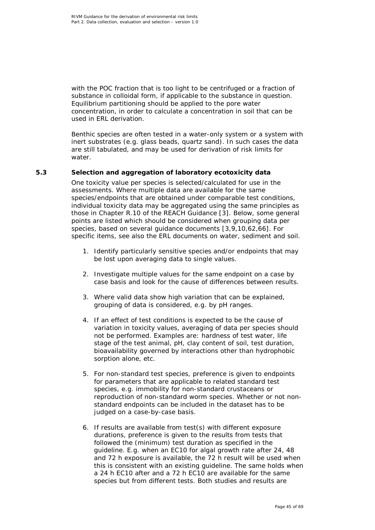with the POC fraction that is too light to be centrifuged or a fraction of substance in colloidal form, if applicable to the substance in question. Equilibrium partitioning should be applied to the pore water concentration, in order to calculate a concentration in soil that can be used in ERL derivation.

Benthic species are often tested in a water-only system or a system with inert substrates (e.g. glass beads, quartz sand). In such cases the data are still tabulated, and may be used for derivation of risk limits for water.

### **5.3 Selection and aggregation of laboratory ecotoxicity data**

<span id="page-44-0"></span>One toxicity value per species is selected/calculated for use in the assessments. Where multiple data are available for the same species/endpoints that are obtained under comparable test conditions, individual toxicity data may be aggregated using the same principles as those in Chapter R.10 of the REACH Guidance [\[3\]](#page-54-3). Below, some general points are listed which should be considered when grouping data per species, based on several guidance documents [\[3](#page-54-3)[,9,](#page-54-4)[10](#page-54-5)[,62,](#page-58-8)[66\]](#page-58-12). For specific items, see also the ERL documents on water, sediment and soil.

- 1. Identify particularly sensitive species and/or endpoints that may be lost upon averaging data to single values.
- 2. Investigate multiple values for the same endpoint on a case by case basis and look for the cause of differences between results.
- 3. Where valid data show high variation that can be explained, grouping of data is considered, e.g. by pH ranges.
- 4. If an effect of test conditions is expected to be the cause of variation in toxicity values, averaging of data per species should not be performed. Examples are: hardness of test water, life stage of the test animal, pH, clay content of soil, test duration, bioavailability governed by interactions other than hydrophobic sorption alone, etc.
- 5. For non-standard test species, preference is given to endpoints for parameters that are applicable to related standard test species, e.g. immobility for non-standard crustaceans or reproduction of non-standard worm species. Whether or not nonstandard endpoints can be included in the dataset has to be judged on a case-by-case basis.
- 6. If results are available from test(s) with different exposure durations, preference is given to the results from tests that followed the (minimum) test duration as specified in the guideline. E.g. when an EC10 for algal growth rate after 24, 48 and 72 h exposure is available, the 72 h result will be used when this is consistent with an existing guideline. The same holds when a 24 h EC10 after and a 72 h EC10 are available for the same species but from different tests. Both studies and results are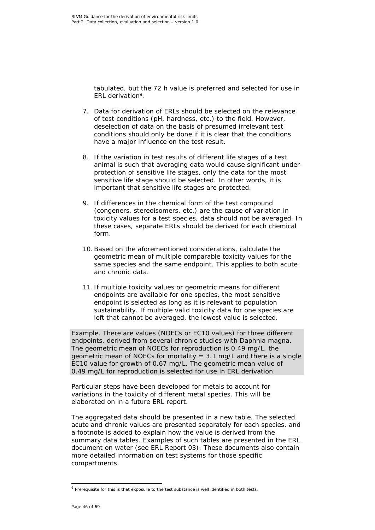tabulated, but the 72 h value is preferred and selected for use in ERL derivation<sup>[6](#page-45-0)</sup>.

- 7. Data for derivation of ERLs should be selected on the relevance of test conditions (pH, hardness, etc.) to the field. However, deselection of data on the basis of presumed irrelevant test conditions should only be done if it is clear that the conditions have a major influence on the test result.
- 8. If the variation in test results of different life stages of a test animal is such that averaging data would cause significant underprotection of sensitive life stages, only the data for the most sensitive life stage should be selected. In other words, it is important that sensitive life stages are protected.
- 9. If differences in the chemical form of the test compound (congeners, stereoisomers, etc.) are the cause of variation in toxicity values for a test species, data should not be averaged. In these cases, separate ERLs should be derived for each chemical form.
- 10.Based on the aforementioned considerations, calculate the geometric mean of multiple comparable toxicity values for the same species and the same endpoint. This applies to both acute and chronic data.
- 11. If multiple toxicity values or geometric means for different endpoints are available for one species, the most sensitive endpoint is selected as long as it is relevant to population sustainability. If multiple valid toxicity data for one species are left that cannot be averaged, the lowest value is selected.

Example. There are values (NOECs or EC10 values) for three different endpoints, derived from several chronic studies with *Daphnia magna*. The geometric mean of NOECs for reproduction is 0.49 mg/L, the geometric mean of NOECs for mortality  $= 3.1$  mg/L and there is a single EC10 value for growth of 0.67 mg/L. The geometric mean value of 0.49 mg/L for reproduction is selected for use in ERL derivation.

Particular steps have been developed for metals to account for variations in the toxicity of different metal species. This will be elaborated on in a future ERL report.

The aggregated data should be presented in a new table. The selected acute and chronic values are presented separately for each species, and a footnote is added to explain how the value is derived from the summary data tables. Examples of such tables are presented in the ERL document on water (see ERL Report 03). These documents also contain more detailed information on test systems for those specific compartments.

<span id="page-45-0"></span> $<sup>6</sup>$  Prerequisite for this is that exposure to the test substance is well identified in both tests.</sup>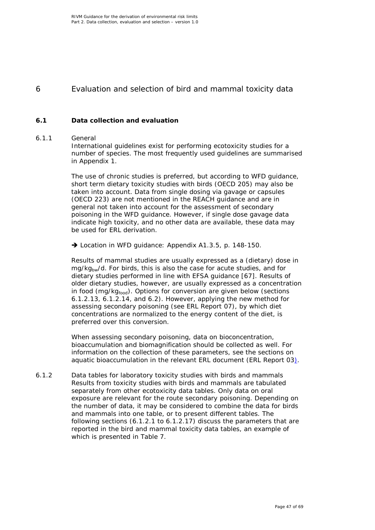# <span id="page-46-0"></span>6 Evaluation and selection of bird and mammal toxicity data

### **6.1 Data collection and evaluation**

#### *6.1.1 General*

<span id="page-46-2"></span><span id="page-46-1"></span>International guidelines exist for performing ecotoxicity studies for a number of species. The most frequently used guidelines are summarised in Appendix 1.

The use of chronic studies is preferred, but according to WFD guidance, short term dietary toxicity studies with birds (OECD 205) may also be taken into account. Data from single dosing via gavage or capsules (OECD 223) are not mentioned in the REACH guidance and are in general not taken into account for the assessment of secondary poisoning in the WFD guidance. However, if single dose gavage data indicate high toxicity, and no other data are available, these data may be used for ERL derivation.

→ Location in WFD guidance: Appendix A1.3.5, p. 148-150.

Results of mammal studies are usually expressed as a (dietary) dose in mg/kg<sub>bw</sub>/d. For birds, this is also the case for acute studies, and for dietary studies performed in line with EFSA guidance [\[67\]](#page-58-13). Results of older dietary studies, however, are usually expressed as a concentration in food (mg/kg $_{\text{food}}$ ). Options for conversion are given below (sections 6.1.2.13, 6.1.2.14, and 6.2). However, applying the new method for assessing secondary poisoning (see ERL Report 07), by which diet concentrations are normalized to the energy content of the diet, is preferred over this conversion.

When assessing secondary poisoning, data on bioconcentration, bioaccumulation and biomagnification should be collected as well. For information on the collection of these parameters, see the sections on aquatic bioaccumulation in the relevant ERL document (ERL Report 03).

<span id="page-46-3"></span>*6.1.2 Data tables for laboratory toxicity studies with birds and mammals* Results from toxicity studies with birds and mammals are tabulated separately from other ecotoxicity data tables. Only data on oral exposure are relevant for the route secondary poisoning. Depending on the number of data, it may be considered to combine the data for birds and mammals into one table, or to present different tables. The following sections (6.1.2.1 to 6.1.2.17) discuss the parameters that are reported in the bird and mammal toxicity data tables, an example of which is presented in Table 7.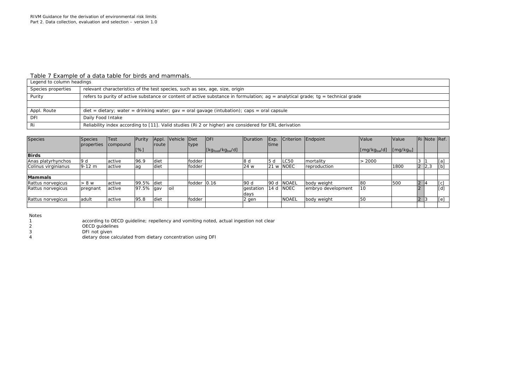#### *Table 7 Example of a data table for birds and mammals.*

| Legend to column headings |                                                                                                                                 |  |  |  |  |
|---------------------------|---------------------------------------------------------------------------------------------------------------------------------|--|--|--|--|
| Species properties        | relevant characteristics of the test species, such as sex, age, size, origin                                                    |  |  |  |  |
| Purity                    | refers to purity of active substance or content of active substance in formulation; ag = analytical grade; tg = technical grade |  |  |  |  |
|                           |                                                                                                                                 |  |  |  |  |
| Appl. Route               | $\text{dist} = \text{dietary}$ ; water = drinking water; gav = oral gavage (intubation); caps = oral capsule                    |  |  |  |  |
| DFI                       | Daily Food Intake                                                                                                               |  |  |  |  |
| Ri                        | Reliability index according to [11]. Valid studies (Ri 2 or higher) are considered for ERL derivation                           |  |  |  |  |

| Species             | <b>Species</b> | Test     | Purity     |              | Appl. Vehicle | Diet            | <b>DFI</b>                                | Duration  |              | Exp. Criterion Endpoint |                    | Value                              | Value                            |                | Ri Note Ref. |     |
|---------------------|----------------|----------|------------|--------------|---------------|-----------------|-------------------------------------------|-----------|--------------|-------------------------|--------------------|------------------------------------|----------------------------------|----------------|--------------|-----|
|                     | properties     | compound |            | <i>coute</i> |               | type            |                                           |           | <b>Itime</b> |                         |                    |                                    |                                  |                |              |     |
|                     |                |          | [%]        |              |               |                 | [kg <sub>food</sub> /kg <sub>bw</sub> /d] |           |              |                         |                    | $\lfloor$ [mg/kg <sub>bw</sub> /d] | $\lfloor$ [mg/kg <sub>fd</sub> ] |                |              |     |
| <b>Birds</b>        |                |          |            |              |               |                 |                                           |           |              |                         |                    |                                    |                                  |                |              |     |
| Anas platyrhynchos  | 19 d           | active   | 96.9       | diet         |               | fodder          |                                           | 18 d      | 5 d          | LC50                    | mortality          | > 2000                             |                                  |                |              | [a] |
| Colinus virginianus | $9-12$ m       | active   | ag         | diet         |               | fodder          |                                           | 24 w      |              | 21 w NOEC               | reproduction       |                                    | 1800                             | $\overline{2}$ | 2,3          | [b] |
|                     |                |          |            |              |               |                 |                                           |           |              |                         |                    |                                    |                                  |                |              |     |
| Mammals             |                |          |            |              |               |                 |                                           |           |              |                         |                    |                                    |                                  |                |              |     |
| Rattus norvegicus   | > 8 w          | active   | 99.5% diet |              |               | fodder $ 0.16 $ |                                           | 90 d      |              | 90 d NOAEL              | body weight        | 180                                | 500                              | $\overline{2}$ |              | [c] |
| Rattus norvegicus   | pregnant       | active   | 97.5% gav  |              | loil          |                 |                                           | gestation |              | 14 d NOEC               | embryo development | 10                                 |                                  |                |              | [d] |
|                     |                |          |            |              |               |                 |                                           | days      |              |                         |                    |                                    |                                  |                |              |     |
| Rattus norvegicus   | adult          | active   | 95.8       | diet         |               | fodder          |                                           | 2 gen     |              | <b>NOAEL</b>            | body weight        | 50                                 |                                  | $\overline{2}$ | 13           | [e] |
|                     |                |          |            |              |               |                 |                                           |           |              |                         |                    |                                    |                                  |                |              |     |

Notes<br>1

1 according to OECD guideline; repellency and vomiting noted, actual ingestion not clear<br>2 OECD guidelines

2 OECD guidelines<br>3 DFI not given 3 DFI not given<br>4 dietary dose ca

4 dietary dose calculated from dietary concentration using DFI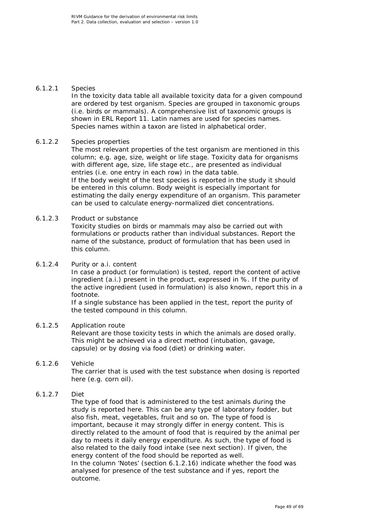#### 6.1.2.1 Species

In the toxicity data table all available toxicity data for a given compound are ordered by test organism. Species are grouped in taxonomic groups (i.e. birds or mammals). A comprehensive list of taxonomic groups is shown in ERL Report 11. Latin names are used for species names. Species names within a taxon are listed in alphabetical order.

### 6.1.2.2 Species properties

The most relevant properties of the test organism are mentioned in this column; e.g. age, size, weight or life stage. Toxicity data for organisms with different age, size, life stage etc., are presented as individual entries (i.e. one entry in each row) in the data table. If the body weight of the test species is reported in the study it should be entered in this column. Body weight is especially important for estimating the daily energy expenditure of an organism. This parameter can be used to calculate energy-normalized diet concentrations.

### 6.1.2.3 Product or substance

Toxicity studies on birds or mammals may also be carried out with formulations or products rather than individual substances. Report the name of the substance, product of formulation that has been used in this column.

#### 6.1.2.4 Purity or a.i. content

In case a product (or formulation) is tested, report the content of active ingredient (a.i.) present in the product, expressed in %. If the purity of the active ingredient (used in formulation) is also known, report this in a footnote.

If a single substance has been applied in the test, report the purity of the tested compound in this column.

#### 6.1.2.5 Application route

Relevant are those toxicity tests in which the animals are dosed orally. This might be achieved via a direct method (intubation, gavage, capsule) or by dosing via food (diet) or drinking water.

# 6.1.2.6 Vehicle

The carrier that is used with the test substance when dosing is reported here (e.g. corn oil).

### 6.1.2.7 Diet

The type of food that is administered to the test animals during the study is reported here. This can be any type of laboratory fodder, but also fish, meat, vegetables, fruit and so on. The type of food is important, because it may strongly differ in energy content. This is directly related to the amount of food that is required by the animal per day to meets it daily energy expenditure. As such, the type of food is also related to the daily food intake (see next section). If given, the energy content of the food should be reported as well. In the column 'Notes' (section 6.1.2.16) indicate whether the food was analysed for presence of the test substance and if yes, report the outcome.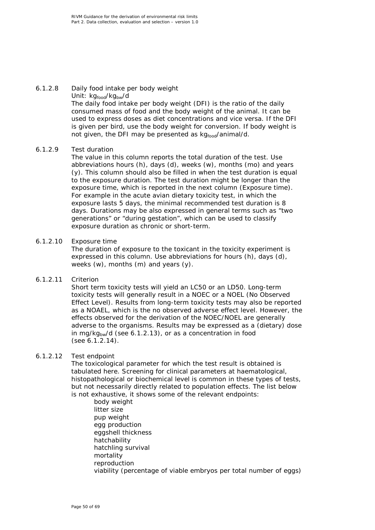# 6.1.2.8 Daily food intake per body weight

Unit: kg<sub>food</sub>/kg<sub>bw</sub>/d

The daily food intake per body weight (DFI) is the ratio of the daily consumed mass of food and the body weight of the animal. It can be used to express doses as diet concentrations and vice versa. If the DFI is given per bird, use the body weight for conversion. If body weight is not given, the DFI may be presented as  $kg_{food}/\text{animal}/d$ .

# 6.1.2.9 Test duration

The value in this column reports the total duration of the test. Use abbreviations hours (h), days (d), weeks (w), months (mo) and years (y). This column should also be filled in when the test duration is equal to the exposure duration. The test duration might be longer than the exposure time, which is reported in the next column (Exposure time). For example in the acute avian dietary toxicity test, in which the exposure lasts 5 days, the minimal recommended test duration is 8 days. Durations may be also expressed in general terms such as "two generations" or "during gestation", which can be used to classify exposure duration as chronic or short-term.

### 6.1.2.10 Exposure time

The duration of exposure to the toxicant in the toxicity experiment is expressed in this column. Use abbreviations for hours (h), days (d), weeks (w), months (m) and years (y).

# 6.1.2.11 Criterion

Short term toxicity tests will yield an LC50 or an LD50. Long-term toxicity tests will generally result in a NOEC or a NOEL (No Observed Effect Level). Results from long-term toxicity tests may also be reported as a NOAEL, which is the no observed adverse effect level. However, the effects observed for the derivation of the NOEC/NOEL are generally adverse to the organisms. Results may be expressed as a (dietary) dose in mg/kg<sub>bw</sub>/d (see 6.1.2.13), or as a concentration in food (see 6.1.2.14).

### 6.1.2.12 Test endpoint

The toxicological parameter for which the test result is obtained is tabulated here. Screening for clinical parameters at haematological, histopathological or biochemical level is common in these types of tests, but not necessarily directly related to population effects. The list below is not exhaustive, it shows some of the relevant endpoints:

body weight litter size pup weight egg production eggshell thickness hatchability hatchling survival mortality reproduction viability (percentage of viable embryos per total number of eggs)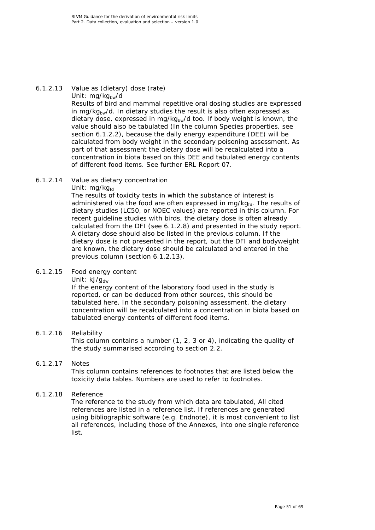# 6.1.2.13 Value as (dietary) dose (rate)

Unit: mg/kg<sub>bw</sub>/d

Results of bird and mammal repetitive oral dosing studies are expressed in mg/kgbw/d. In dietary studies the result is also often expressed as dietary dose, expressed in mg/kg<sub>bw</sub>/d too. If body weight is known, the value should also be tabulated (In the column Species properties, see section 6.1.2.2), because the daily energy expenditure (DEE) will be calculated from body weight in the secondary poisoning assessment. As part of that assessment the dietary dose will be recalculated into a concentration in biota based on this DEE and tabulated energy contents of different food items. See further ERL Report 07.

# 6.1.2.14 Value as dietary concentration

### Unit: mg/kgfd

The results of toxicity tests in which the substance of interest is administered via the food are often expressed in mg/ $kg<sub>fd</sub>$ . The results of dietary studies (LC50, or NOEC values) are reported in this column. For recent guideline studies with birds, the dietary dose is often already calculated from the DFI (see 6.1.2.8) and presented in the study report. A dietary dose should also be listed in the previous column. If the dietary dose is not presented in the report, but the DFI and bodyweight are known, the dietary dose should be calculated and entered in the previous column (section 6.1.2.13).

### 6.1.2.15 Food energy content

# Unit: kJ/gdw

If the energy content of the laboratory food used in the study is reported, or can be deduced from other sources, this should be tabulated here. In the secondary poisoning assessment, the dietary concentration will be recalculated into a concentration in biota based on tabulated energy contents of different food items.

### 6.1.2.16 Reliability

This column contains a number (1, 2, 3 or 4), indicating the quality of the study summarised according to section 2.2.

# 6.1.2.17 Notes

This column contains references to footnotes that are listed below the toxicity data tables. Numbers are used to refer to footnotes.

### 6.1.2.18 Reference

The reference to the study from which data are tabulated, All cited references are listed in a reference list. If references are generated using bibliographic software (e.g. Endnote), it is most convenient to list all references, including those of the Annexes, into one single reference list.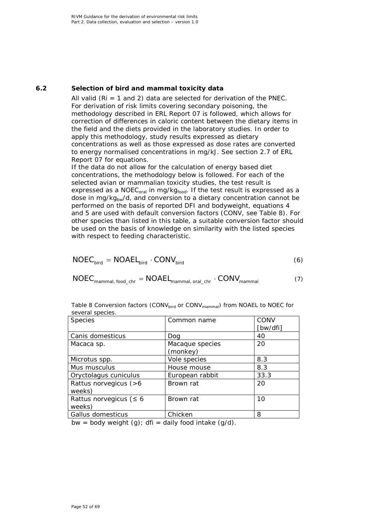#### **6.2 Selection of bird and mammal toxicity data**

<span id="page-51-0"></span>All valid ( $Ri = 1$  and 2) data are selected for derivation of the PNEC. For derivation of risk limits covering secondary poisoning, the methodology described in ERL Report 07 is followed, which allows for correction of differences in caloric content between the dietary items in the field and the diets provided in the laboratory studies. In order to apply this methodology, study results expressed as dietary concentrations as well as those expressed as dose rates are converted to energy normalised concentrations in mg/kJ. See section 2.7 of ERL Report 07 for equations.

If the data do not allow for the calculation of energy based diet concentrations, the methodology below is followed. For each of the selected avian or mammalian toxicity studies, the test result is expressed as a NOEC<sub>oral</sub> in mg/kg<sub>food</sub>. If the test result is expressed as a dose in mg/kg<sub>bw</sub>/d, and conversion to a dietary concentration cannot be performed on the basis of reported DFI and bodyweight, equations 4 and 5 are used with default conversion factors (CONV, see Table 8). For other species than listed in this table, a suitable conversion factor should be used on the basis of knowledge on similarity with the listed species with respect to feeding characteristic.

$$
NOEC_{\text{bird}} = NOAEL_{\text{bird}} \cdot CONV_{\text{bird}} \tag{6}
$$

$$
NOEC_{\text{mammal, food\_chr}} = NOAEL_{\text{mammal, oral\_chr}} \cdot CONV_{\text{mammal}} \tag{7}
$$

| several species.             |                 |          |
|------------------------------|-----------------|----------|
| <b>Species</b>               | Common name     | CONV     |
|                              |                 | [bw/dfi] |
|                              |                 |          |
| Canis domesticus             | Dog             | 40       |
| Macaca sp.                   | Macaque species | 20       |
|                              | (monkey)        |          |
| Microtus spp.                | Vole species    | 8.3      |
| Mus musculus                 | House mouse     | 8.3      |
| Oryctolagus cuniculus        | European rabbit | 33.3     |
| Rattus norvegicus (>6        | Brown rat       | 20       |
| weeks)                       |                 |          |
| Rattus norvegicus ( $\leq 6$ | Brown rat       | 10       |
| weeks)                       |                 |          |
| Gallus domesticus            | Chicken         | 8        |

*Table 8 Conversion factors (CONVbird or CONVmammal) from NOAEL to NOEC for several species.*

bw = body weight  $(g)$ ; dfi = daily food intake  $(g/d)$ .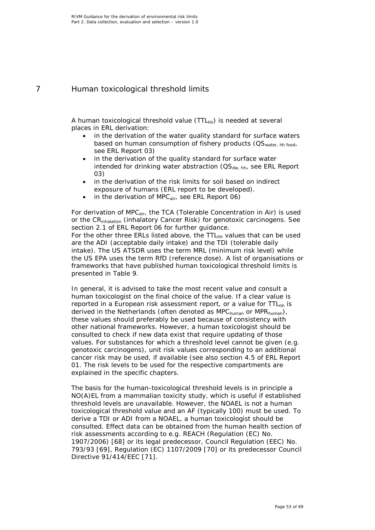# 7 Human toxicological threshold limits

<span id="page-52-0"></span>A human toxicological threshold value (TTL<sub>hh</sub>) is needed at several places in ERL derivation:

- in the derivation of the water quality standard for surface waters based on human consumption of fishery products (QS<sub>water, hh food</sub>, see ERL Report 03)
- in the derivation of the quality standard for surface water intended for drinking water abstraction  $(OS_{dw, hh}$ , see ERL Report 03)
- in the derivation of the risk limits for soil based on indirect exposure of humans (ERL report to be developed).
- $\bullet$  in the derivation of MPC<sub>air</sub>, see ERL Report 06)

For derivation of MPC<sub>air</sub>, the TCA (Tolerable Concentration in Air) is used or the CR<sub>inhalation</sub> (inhalatory Cancer Risk) for genotoxic carcinogens. See section 2.1 of ERL Report 06 for further guidance. For the other three ERLs listed above, the  $TTL_{hh}$  values that can be used are the ADI (acceptable daily intake) and the TDI (tolerable daily intake). The US ATSDR uses the term MRL (minimum risk level) while the US EPA uses the term RfD (reference dose). A list of organisations or

frameworks that have published human toxicological threshold limits is presented in Table 9.

In general, it is advised to take the most recent value and consult a human toxicologist on the final choice of the value. If a clear value is reported in a European risk assessment report, or a value for TTL<sub>hh</sub> is derived in the Netherlands (often denoted as MPC<sub>human</sub> or MPR<sub>human</sub>), these values should preferably be used because of consistency with other national frameworks. However, a human toxicologist should be consulted to check if new data exist that require updating of those values. For substances for which a threshold level cannot be given (e.g. genotoxic carcinogens), unit risk values corresponding to an additional cancer risk may be used, if available (see also section 4.5 of ERL Report 01. The risk levels to be used for the respective compartments are explained in the specific chapters.

The basis for the human-toxicological threshold levels is in principle a NO(A)EL from a mammalian toxicity study, which is useful if established threshold levels are unavailable. However, the NOAEL is not a human toxicological threshold value and an AF (typically 100) must be used. To derive a TDI or ADI from a NOAEL, a human toxicologist should be consulted. Effect data can be obtained from the human health section of risk assessments according to e.g. REACH (Regulation (EC) No. 1907/2006) [\[68\]](#page-59-0) or its legal predecessor, Council Regulation (EEC) No. 793/93 [\[69\]](#page-59-1), Regulation (EC) 1107/2009 [\[70\]](#page-59-2) or its predecessor Council Directive 91/414/EEC [\[71\]](#page-59-3).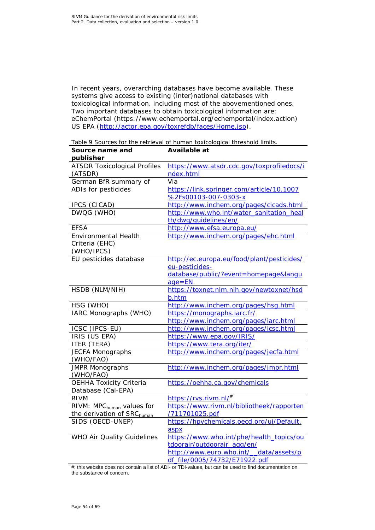In recent years, overarching databases have become available. These systems give access to existing (inter)national databases with toxicological information, including most of the abovementioned ones. Two important databases to obtain toxicological information are: eChemPortal (https://www.echemportal.org/echemportal/index.action) US EPA [\(http://actor.epa.gov/toxrefdb/faces/Home.jsp\)](http://actor.epa.gov/toxrefdb/faces/Home.jsp).

| Source name and                        | Available at                               |
|----------------------------------------|--------------------------------------------|
| publisher                              |                                            |
| <b>ATSDR Toxicological Profiles</b>    | https://www.atsdr.cdc.gov/toxprofiledocs/i |
| (ATSDR)                                | ndex.html                                  |
| German BfR summary of                  | Via                                        |
| ADIs for pesticides                    | https://link.springer.com/article/10.1007  |
|                                        | %2Fs00103-007-0303-x                       |
| IPCS (CICAD)                           | http://www.inchem.org/pages/cicads.html    |
| DWQG (WHO)                             | http://www.who.int/water_sanitation_heal   |
|                                        | th/dwq/guidelines/en/                      |
| <b>EFSA</b>                            | http://www.efsa.europa.eu/                 |
| <b>Environmental Health</b>            | http://www.inchem.org/pages/ehc.html       |
| Criteria (EHC)                         |                                            |
| (WHO/IPCS)                             |                                            |
| EU pesticides database                 | http://ec.europa.eu/food/plant/pesticides/ |
|                                        | eu-pesticides-                             |
|                                        | database/public/?event=homepage&langu      |
|                                        | $age = EN$                                 |
| HSDB (NLM/NIH)                         | https://toxnet.nlm.nih.gov/newtoxnet/hsd   |
|                                        | b.htm                                      |
| HSG (WHO)                              | http://www.inchem.org/pages/hsg.html       |
| IARC Monographs (WHO)                  | https://monographs.iarc.fr/                |
|                                        | http://www.inchem.org/pages/iarc.html      |
| ICSC (IPCS-EU)                         | http://www.inchem.org/pages/icsc.html      |
| IRIS (US EPA)                          | https://www.epa.gov/IRIS/                  |
| ITER (TERA)                            | https://www.tera.org/iter/                 |
| <b>JECFA Monographs</b>                | http://www.inchem.org/pages/jecfa.html     |
| (WHO/FAO)                              |                                            |
| <b>JMPR Monographs</b>                 | http://www.inchem.org/pages/jmpr.html      |
| (WHO/FAO)                              |                                            |
| <b>OEHHA Toxicity Criteria</b>         | https://oehha.ca.gov/chemicals             |
| Database (Cal-EPA)                     |                                            |
| <b>RIVM</b>                            | https://rvs.rivm.nl/ <sup>#</sup>          |
| RIVM: MPC <sub>human</sub> values for  | https://www.rivm.nl/bibliotheek/rapporten  |
| the derivation of SRC <sub>human</sub> | /711701025.pdf                             |
| SIDS (OECD-UNEP)                       | https://hpvchemicals.oecd.org/ui/Default.  |
|                                        | aspx                                       |
| WHO Air Quality Guidelines             | https://www.who.int/phe/health_topics/ou   |
|                                        | tdoorair/outdoorair_agg/en/                |
|                                        | http://www.euro.who.int/ data/assets/p     |
|                                        | df_file/0005/74732/E71922.pdf              |

*Table 9 Sources for the retrieval of human toxicological threshold limits.*

#: this website does not contain a list of ADI- or TDI-values, but can be used to find documentation on the substance of concern.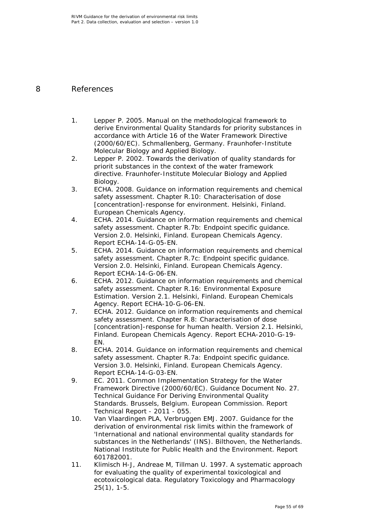# 8 References

- <span id="page-54-1"></span><span id="page-54-0"></span>1. Lepper P. 2005. Manual on the methodological framework to derive Environmental Quality Standards for priority substances in accordance with Article 16 of the Water Framework Directive (2000/60/EC). Schmallenberg, Germany. Fraunhofer-Institute Molecular Biology and Applied Biology.
- <span id="page-54-2"></span>2. Lepper P. 2002. Towards the derivation of quality standards for priorit substances in the context of the water framework directive. Fraunhofer-Institute Molecular Biology and Applied Biology.
- <span id="page-54-3"></span>3. ECHA. 2008. Guidance on information requirements and chemical safety assessment. Chapter R.10: Characterisation of dose [concentration]-response for environment. Helsinki, Finland. European Chemicals Agency.
- <span id="page-54-7"></span>4. ECHA. 2014. Guidance on information requirements and chemical safety assessment. Chapter R.7b: Endpoint specific guidance. Version 2.0. Helsinki, Finland. European Chemicals Agency. Report ECHA-14-G-05-EN.
- <span id="page-54-8"></span>5. ECHA. 2014. Guidance on information requirements and chemical safety assessment. Chapter R.7c: Endpoint specific guidance. Version 2.0. Helsinki, Finland. European Chemicals Agency. Report ECHA-14-G-06-EN.
- <span id="page-54-11"></span>6. ECHA. 2012. Guidance on information requirements and chemical safety assessment. Chapter R.16: Environmental Exposure Estimation. Version 2.1. Helsinki, Finland. European Chemicals Agency. Report ECHA-10-G-06-EN.
- <span id="page-54-10"></span>7. ECHA. 2012. Guidance on information requirements and chemical safety assessment. Chapter R.8: Characterisation of dose [concentration]-response for human health. Version 2.1. Helsinki, Finland. European Chemicals Agency. Report ECHA-2010-G-19- EN.
- <span id="page-54-9"></span>8. ECHA. 2014. Guidance on information requirements and chemical safety assessment. Chapter R.7a: Endpoint specific guidance. Version 3.0. Helsinki, Finland. European Chemicals Agency. Report ECHA-14-G-03-EN.
- <span id="page-54-4"></span>9. EC. 2011. Common Implementation Strategy for the Water Framework Directive (2000/60/EC). Guidance Document No. 27. Technical Guidance For Deriving Environmental Quality Standards. Brussels, Belgium. European Commission. Report Technical Report - 2011 - 055.
- <span id="page-54-5"></span>10. Van Vlaardingen PLA, Verbruggen EMJ. 2007. Guidance for the derivation of environmental risk limits within the framework of 'International and national environmental quality standards for substances in the Netherlands' (INS). Bilthoven, the Netherlands. National Institute for Public Health and the Environment. Report 601782001.
- <span id="page-54-6"></span>11. Klimisch H-J, Andreae M, Tillman U. 1997. A systematic approach for evaluating the quality of experimental toxicological and ecotoxicological data. Regulatory Toxicology and Pharmacology 25(1), 1-5.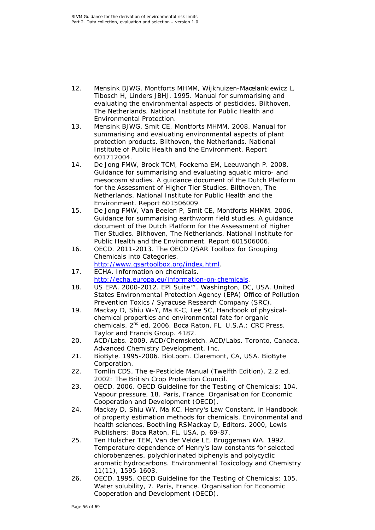- <span id="page-55-0"></span>12. Mensink BJWG, Montforts MHMM, Wijkhuizen-Maœlankiewicz L, Tibosch H, Linders JBHJ. 1995. Manual for summarising and evaluating the environmental aspects of pesticides. Bilthoven, The Netherlands. National Institute for Public Health and Environmental Protection.
- <span id="page-55-1"></span>13. Mensink BJWG, Smit CE, Montforts MHMM. 2008. Manual for summarising and evaluating environmental aspects of plant protection products. Bilthoven, the Netherlands. National Institute of Public Health and the Environment. Report 601712004.
- 14. De Jong FMW, Brock TCM, Foekema EM, Leeuwangh P. 2008. Guidance for summarising and evaluating aquatic micro- and mesocosm studies. A guidance document of the Dutch Platform for the Assessment of Higher Tier Studies. Bilthoven, The Netherlands. National Institute for Public Health and the Environment. Report 601506009.
- 15. De Jong FMW, Van Beelen P, Smit CE, Montforts MHMM. 2006. Guidance for summarising earthworm field studies. A guidance document of the Dutch Platform for the Assessment of Higher Tier Studies. Bilthoven, The Netherlands. National Institute for Public Health and the Environment. Report 601506006.
- <span id="page-55-2"></span>16. OECD. 2011-2013. The OECD QSAR Toolbox for Grouping Chemicals into Categories.
- <span id="page-55-3"></span>[http://www.qsartoolbox.org/index.html.](http://www.qsartoolbox.org/index.html) 17. ECHA. Information on chemicals. [http://echa.europa.eu/information-on-chemicals.](http://echa.europa.eu/information-on-chemicals)
- <span id="page-55-4"></span>18. US EPA. 2000-2012. EPI Suite™. Washington, DC, USA. United States Environmental Protection Agency (EPA) Office of Pollution Prevention Toxics / Syracuse Research Company (SRC).
- <span id="page-55-5"></span>19. Mackay D, Shiu W-Y, Ma K-C, Lee SC, Handbook of physicalchemical properties and environmental fate for organic chemicals. 2<sup>nd</sup> ed. 2006, Boca Raton, FL. U.S.A.: CRC Press, Taylor and Francis Group. 4182.
- <span id="page-55-6"></span>20. ACD/Labs. 2009. ACD/Chemsketch. ACD/Labs. Toronto, Canada. Advanced Chemistry Development, Inc.
- <span id="page-55-7"></span>21. BioByte. 1995-2006. BioLoom. Claremont, CA, USA. BioByte Corporation.
- <span id="page-55-8"></span>22. Tomlin CDS, The e-Pesticide Manual (Twelfth Edition). 2.2 ed. 2002: The British Crop Protection Council.
- <span id="page-55-9"></span>23. OECD. 2006. OECD Guideline for the Testing of Chemicals: 104. Vapour pressure, 18. Paris, France. Organisation for Economic Cooperation and Development (OECD).
- <span id="page-55-10"></span>24. Mackay D, Shiu WY, Ma KC, *Henry's Law Constant*, in *Handbook of property estimation methods for chemicals. Environmental and health sciences*, Boethling RSMackay D, Editors. 2000, Lewis Publishers: Boca Raton, FL, USA. p. 69-87.
- <span id="page-55-11"></span>25. Ten Hulscher TEM, Van der Velde LE, Bruggeman WA. 1992. Temperature dependence of Henry's law constants for selected chlorobenzenes, polychlorinated biphenyls and polycyclic aromatic hydrocarbons. Environmental Toxicology and Chemistry 11(11), 1595-1603.
- <span id="page-55-12"></span>26. OECD. 1995. OECD Guideline for the Testing of Chemicals: 105. Water solubility, 7. Paris, France. Organisation for Economic Cooperation and Development (OECD).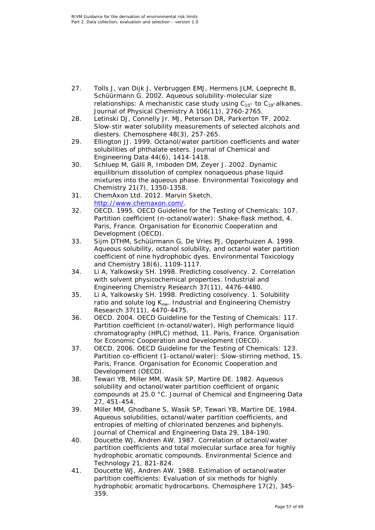- <span id="page-56-0"></span>27. Tolls J, van Dijk J, Verbruggen EMJ, Hermens JLM, Loeprecht B, Schüürmann G. 2002. Aqueous solubility-molecular size relationships: A mechanistic case study using  $C_{10}$ - to  $C_{19}$ -alkanes. Journal of Physical Chemistry A 106(11), 2760-2765.
- 28. Letinski DJ, Connelly Jr. MJ, Peterson DR, Parkerton TF. 2002. Slow-stir water solubility measurements of selected alcohols and diesters. Chemosphere 48(3), 257-265.
- 29. Ellington JJ. 1999. Octanol/water partition coefficients and water solubilities of phthalate esters. Journal of Chemical and Engineering Data 44(6), 1414-1418.
- <span id="page-56-1"></span>30. Schluep M, Gälli R, Imboden DM, Zeyer J. 2002. Dynamic equilibrium dissolution of complex nonaqueous phase liquid mixtures into the aqueous phase. Environmental Toxicology and Chemistry 21(7), 1350-1358.
- <span id="page-56-2"></span>31. ChemAxon Ltd. 2012. Marvin Sketch. [http://www.chemaxon.com/.](http://www.chemaxon.com/)
- <span id="page-56-3"></span>32. OECD. 1995. OECD Guideline for the Testing of Chemicals: 107. Partition coefficient (*n*-octanol/water): Shake-flask method, 4. Paris, France. Organisation for Economic Cooperation and Development (OECD).
- <span id="page-56-4"></span>33. Sijm DTHM, Schüürmann G, De Vries PJ, Opperhuizen A. 1999. Aqueous solubility, octanol solubility, and octanol water partition coefficient of nine hydrophobic dyes. Environmental Toxicology and Chemistry 18(6), 1109-1117.
- 34. Li A, Yalkowsky SH. 1998. Predicting cosolvency. 2. Correlation with solvent physicochemical properties. Industrial and Engineering Chemistry Research 37(11), 4476-4480.
- 35. Li A, Yalkowsky SH. 1998. Predicting cosolvency. 1. Solubility ratio and solute log K<sub>ow</sub>. Industrial and Engineering Chemistry Research 37(11), 4470-4475.
- <span id="page-56-5"></span>36. OECD. 2004. OECD Guideline for the Testing of Chemicals: 117. Partition coefficient (*n*-octanol/water), High performance liquid chromatography (HPLC) method, 11. Paris, France. Organisation for Economic Cooperation and Development (OECD).
- <span id="page-56-6"></span>37. OECD. 2006. OECD Guideline for the Testing of Chemicals: 123. Partition co-efficient (1-octanol/water): Slow-stirring method, 15. Paris, France. Organisation for Economic Cooperation and Development (OECD).
- <span id="page-56-7"></span>38. Tewari YB, Miller MM, Wasik SP, Martire DE. 1982. Aqueous solubility and octanol/water partition coefficient of organic compounds at 25.0 °C. Journal of Chemical and Engineering Data 27, 451-454.
- 39. Miller MM, Ghodbane S, Wasik SP, Tewari YB, Martire DE. 1984. Aqueous solubilities, octanol/water partition coefficients, and entropies of melting of chlorinated benzenes and biphenyls. Journal of Chemical and Engineering Data 29, 184-190.
- 40. Doucette WJ, Andren AW. 1987. Correlation of octanol/water partition coefficients and total molecular surface area for highly hydrophobic aromatic compounds. Environmental Science and Technology 21, 821-824.
- 41. Doucette WJ, Andren AW. 1988. Estimation of octanol/water partition coefficients: Evaluation of six methods for highly hydrophobic aromatic hydrocarbons. Chemosphere 17(2), 345- 359.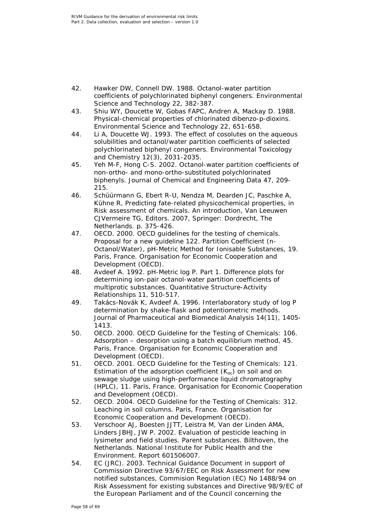- 42. Hawker DW, Connell DW. 1988. Octanol-water partition coefficients of polychlorinated biphenyl congeners. Environmental Science and Technology 22, 382-387.
- 43. Shiu WY, Doucette W, Gobas FAPC, Andren A, Mackay D. 1988. Physical-chemical properties of chlorinated dibenzo-*p*-dioxins. Environmental Science and Technology 22, 651-658.
- 44. Li A, Doucette WJ. 1993. The effect of cosolutes on the aqueous solubilities and octanol/water partition coefficients of selected polychlorinated biphenyl congeners. Environmental Toxicology and Chemistry 12(3), 2031-2035.
- 45. Yeh M-F, Hong C-S. 2002. Octanol-water partition coefficients of non-*ortho*- and mono-*ortho*-substituted polychlorinated biphenyls. Journal of Chemical and Engineering Data 47, 209- 215.
- <span id="page-57-0"></span>46. Schüürmann G, Ebert R-U, Nendza M, Dearden JC, Paschke A, Kühne R, *Predicting fate-related physicochemical properties*, in *Risk assessment of chemicals. An introduction*, Van Leeuwen CJVermeire TG, Editors. 2007, Springer: Dordrecht, The Netherlands. p. 375-426.
- <span id="page-57-1"></span>47. OECD. 2000. OECD guidelines for the testing of chemicals. Proposal for a new guideline 122. Partition Coefficient (n-Octanol/Water), pH-Metric Method for Ionisable Substances, 19. Paris, France. Organisation for Economic Cooperation and Development (OECD).
- <span id="page-57-2"></span>48. Avdeef A. 1992. pH-Metric log P. Part 1. Difference plots for determining ion-pair octanol-water partition coefficients of multiprotic substances. Quantitative Structure-Activity Relationships 11, 510-517.
- <span id="page-57-9"></span><span id="page-57-3"></span>49. Takács-Novák K, Avdeef A. 1996. Interlaboratory study of log P determination by shake-flask and potentiometric methods. Journal of Pharmaceutical and Biomedical Analysis 14(11), 1405- 1413.
- <span id="page-57-4"></span>50. OECD. 2000. OECD Guideline for the Testing of Chemicals: 106. Adsorption – desorption using a batch equilibrium method, 45. Paris, France. Organisation for Economic Cooperation and Development (OECD).
- <span id="page-57-5"></span>51. OECD. 2001. OECD Guideline for the Testing of Chemicals: 121. Estimation of the adsorption coefficient  $(K_{oc})$  on soil and on sewage sludge using high-performance liquid chromatography (HPLC), 11. Paris, France. Organisation for Economic Cooperation and Development (OECD).
- <span id="page-57-6"></span>52. OECD. 2004. OECD Guideline for the Testing of Chemicals: 312. Leaching in soil columns. Paris, France. Organisation for Economic Cooperation and Development (OECD).
- <span id="page-57-7"></span>53. Verschoor AJ, Boesten JJTT, Leistra M, Van der Linden AMA, Linders JBHJ, JW P. 2002. Evaluation of pesticide leaching in lysimeter and field studies. Parent substances. Bilthoven, the Netherlands. National Institute for Public Health and the Environment. Report 601506007.
- <span id="page-57-8"></span>54. EC (JRC). 2003. Technical Guidance Document in support of Commission Directive 93/67/EEC on Risk Assessment for new notified substances, Commision Regulation (EC) No 1488/94 on Risk Assessment for existing substances and Directive 98/9/EC of the European Parliament and of the Council concerning the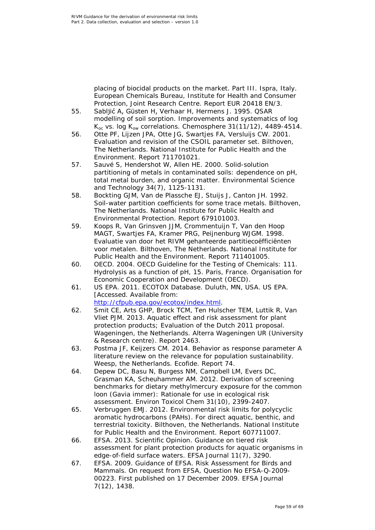<span id="page-58-2"></span>placing of biocidal products on the market. Part III. Ispra, Italy. European Chemicals Bureau, Institute for Health and Consumer Protection, Joint Research Centre. Report EUR 20418 EN/3.

- <span id="page-58-0"></span>55. Sabljić A, Güsten H, Verhaar H, Hermens J. 1995. QSAR modelling of soil sorption. Improvements and systematics of log *K*oc vs. log *K*ow correlations. Chemosphere 31(11/12), 4489-4514.
- <span id="page-58-1"></span>56. Otte PF, Lijzen JPA, Otte JG, Swartjes FA, Versluijs CW. 2001. Evaluation and revision of the CSOIL parameter set. Bilthoven, The Netherlands. National Institute for Public Health and the Environment. Report 711701021.
- <span id="page-58-3"></span>57. Sauvé S, Hendershot W, Allen HE. 2000. Solid-solution partitioning of metals in contaminated soils: dependence on pH, total metal burden, and organic matter. Environmental Science and Technology 34(7), 1125-1131.
- <span id="page-58-4"></span>58. Bockting GJM, Van de Plassche EJ, Stuijs J, Canton JH. 1992. Soil-water partition coefficients for some trace metals. Bilthoven, The Netherlands. National Institute for Public Health and Environmental Protection. Report 679101003.
- <span id="page-58-5"></span>59. Koops R, Van Grinsven JJM, Crommentuijn T, Van den Hoop MAGT, Swartjes FA, Kramer PRG, Peijnenburg WJGM. 1998. Evaluatie van door het RIVM gehanteerde partitiecoëfficiënten voor metalen. Bilthoven, The Netherlands. National Institute for Public Health and the Environment. Report 711401005.
- <span id="page-58-6"></span>60. OECD. 2004. OECD Guideline for the Testing of Chemicals: 111. Hydrolysis as a function of pH, 15. Paris, France. Organisation for Economic Cooperation and Development (OECD).
- <span id="page-58-7"></span>61. US EPA. 2011. ECOTOX Database. Duluth, MN, USA. US EPA. [Accessed. Available from: [http://cfpub.epa.gov/ecotox/index.html.](http://cfpub.epa.gov/ecotox/index.html)
- <span id="page-58-8"></span>62. Smit CE, Arts GHP, Brock TCM, Ten Hulscher TEM, Luttik R, Van Vliet PJM. 2013. Aquatic effect and risk assessment for plant protection products; Evaluation of the Dutch 2011 proposal. Wageningen, the Netherlands. Alterra Wageningen UR (University & Research centre). Report 2463.
- <span id="page-58-9"></span>63. Postma JF, Keijzers CM. 2014. Behavior as response parameter A literature review on the relevance for population sustainability. Weesp, the Netherlands. Ecofide. Report 74.
- <span id="page-58-10"></span>64. Depew DC, Basu N, Burgess NM, Campbell LM, Evers DC, Grasman KA, Scheuhammer AM. 2012. Derivation of screening benchmarks for dietary methylmercury exposure for the common loon (Gavia immer): Rationale for use in ecological risk assessment. Environ Toxicol Chem 31(10), 2399-2407.
- <span id="page-58-11"></span>65. Verbruggen EMJ. 2012. Environmental risk limits for polycyclic aromatic hydrocarbons (PAHs). For direct aquatic, benthic, and terrestrial toxicity. Bilthoven, the Netherlands. National Institute for Public Health and the Environment. Report 607711007.
- <span id="page-58-12"></span>66. EFSA. 2013. Scientific Opinion. Guidance on tiered risk assessment for plant protection products for aquatic organisms in edge-of-field surface waters. EFSA Journal 11(7), 3290.
- <span id="page-58-13"></span>67. EFSA. 2009. Guidance of EFSA. Risk Assessment for Birds and Mammals. On request from EFSA, Question No EFSA-Q-2009- 00223. First published on 17 December 2009. EFSA Journal 7(12), 1438.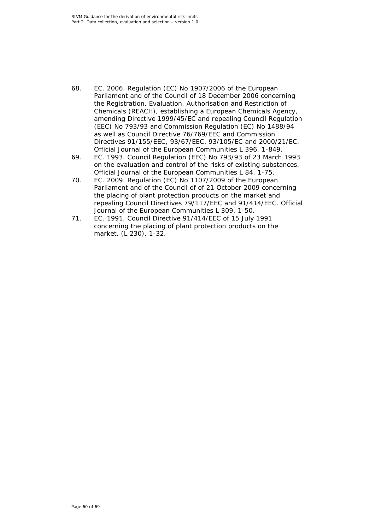- <span id="page-59-0"></span>68. EC. 2006. Regulation (EC) No 1907/2006 of the European Parliament and of the Council of 18 December 2006 concerning the Registration, Evaluation, Authorisation and Restriction of Chemicals (REACH), establishing a European Chemicals Agency, amending Directive 1999/45/EC and repealing Council Regulation (EEC) No 793/93 and Commission Regulation (EC) No 1488/94 as well as Council Directive 76/769/EEC and Commission Directives 91/155/EEC, 93/67/EEC, 93/105/EC and 2000/21/EC. Official Journal of the European Communities L 396, 1-849.
- <span id="page-59-1"></span>69. EC. 1993. Council Regulation (EEC) No 793/93 of 23 March 1993 on the evaluation and control of the risks of existing substances. Official Journal of the European Communities L 84, 1-75.
- <span id="page-59-2"></span>70. EC. 2009. Regulation (EC) No 1107/2009 of the European Parliament and of the Council of of 21 October 2009 concerning the placing of plant protection products on the market and repealing Council Directives 79/117/EEC and 91/414/EEC. Official Journal of the European Communities L 309, 1-50.
- <span id="page-59-3"></span>71. EC. 1991. Council Directive 91/414/EEC of 15 July 1991 concerning the placing of plant protection products on the market. (L 230), 1-32.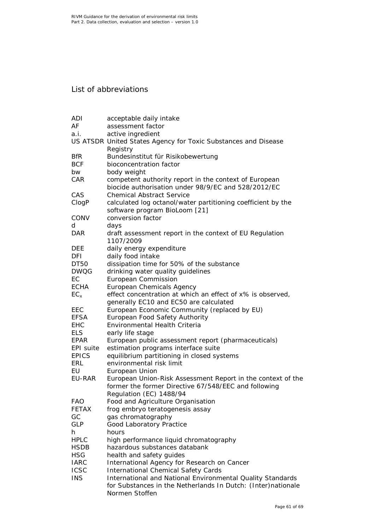# <span id="page-60-0"></span>List of abbreviations

| ADI                     | acceptable daily intake                                                                                      |
|-------------------------|--------------------------------------------------------------------------------------------------------------|
| AF                      | assessment factor                                                                                            |
| a.i.                    | active ingredient                                                                                            |
|                         | US ATSDR United States Agency for Toxic Substances and Disease                                               |
|                         | Registry                                                                                                     |
| <b>BfR</b>              | Bundesinstitut für Risikobewertung                                                                           |
| <b>BCF</b>              | bioconcentration factor                                                                                      |
| bw                      | body weight                                                                                                  |
| CAR                     | competent authority report in the context of European<br>biocide authorisation under 98/9/EC and 528/2012/EC |
| CAS                     | <b>Chemical Abstract Service</b>                                                                             |
| ClogP                   | calculated log octanol/water partitioning coefficient by the<br>software program BioLoom [21]                |
| <b>CONV</b>             | conversion factor                                                                                            |
| d                       | days                                                                                                         |
| <b>DAR</b>              | draft assessment report in the context of EU Regulation<br>1107/2009                                         |
| <b>DEE</b>              | daily energy expenditure                                                                                     |
| DFI                     | daily food intake                                                                                            |
| DT50                    | dissipation time for 50% of the substance                                                                    |
| <b>DWQG</b>             | drinking water quality guidelines                                                                            |
| EC.                     | European Commission                                                                                          |
| <b>ECHA</b>             | <b>European Chemicals Agency</b>                                                                             |
| $EC_{x}$                | effect concentration at which an effect of x% is observed,<br>generally EC10 and EC50 are calculated         |
| EEC                     | European Economic Community (replaced by EU)                                                                 |
| EFSA                    | European Food Safety Authority                                                                               |
| <b>EHC</b>              | Environmental Health Criteria                                                                                |
| <b>ELS</b>              | early life stage                                                                                             |
| <b>EPAR</b>             | European public assessment report (pharmaceuticals)                                                          |
| EPI suite               | estimation programs interface suite                                                                          |
| <b>EPICS</b>            | equilibrium partitioning in closed systems                                                                   |
| ERL                     | environmental risk limit                                                                                     |
| EU                      | European Union                                                                                               |
| EU-RAR                  | European Union-Risk Assessment Report in the context of the                                                  |
|                         | former the former Directive 67/548/EEC and following                                                         |
|                         | Regulation (EC) 1488/94                                                                                      |
| <b>FAO</b>              | Food and Agriculture Organisation                                                                            |
| <b>FETAX</b>            | frog embryo teratogenesis assay                                                                              |
| $\operatorname{\sf GC}$ | gas chromatography                                                                                           |
| <b>GLP</b>              | <b>Good Laboratory Practice</b>                                                                              |
| h.                      | hours                                                                                                        |
| <b>HPLC</b>             | high performance liquid chromatography                                                                       |
| <b>HSDB</b>             | hazardous substances databank                                                                                |
| <b>HSG</b>              | health and safety guides                                                                                     |
| <b>IARC</b>             | International Agency for Research on Cancer                                                                  |
| <b>ICSC</b>             | <b>International Chemical Safety Cards</b>                                                                   |
| <b>INS</b>              | International and National Environmental Quality Standards                                                   |
|                         | for Substances in the Netherlands In Dutch: (Inter)nationale<br>Normen Stoffen                               |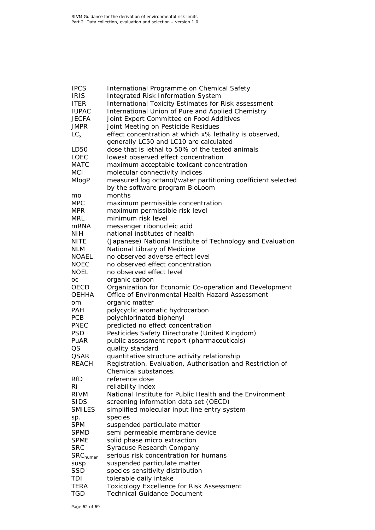| <b>IPCS</b>          | International Programme on Chemical Safety                   |
|----------------------|--------------------------------------------------------------|
| <b>IRIS</b>          | <b>Integrated Risk Information System</b>                    |
| <b>ITER</b>          | International Toxicity Estimates for Risk assessment         |
| <b>IUPAC</b>         | International Union of Pure and Applied Chemistry            |
| <b>JECFA</b>         | Joint Expert Committee on Food Additives                     |
| <b>JMPR</b>          | Joint Meeting on Pesticide Residues                          |
| $LC_{x}$             | effect concentration at which x% lethality is observed,      |
|                      | generally LC50 and LC10 are calculated                       |
| LD50                 | dose that is lethal to 50% of the tested animals             |
| LOEC                 | lowest observed effect concentration                         |
| <b>MATC</b>          | maximum acceptable toxicant concentration                    |
| <b>MCI</b>           | molecular connectivity indices                               |
| MlogP                | measured log octanol/water partitioning coefficient selected |
|                      | by the software program BioLoom                              |
| mo                   | months                                                       |
| <b>MPC</b>           | maximum permissible concentration                            |
| <b>MPR</b>           | maximum permissible risk level                               |
| <b>MRL</b>           | minimum risk level                                           |
| mRNA                 | messenger ribonucleic acid                                   |
| <b>NIH</b>           | national institutes of health                                |
| <b>NITE</b>          | (Japanese) National Institute of Technology and Evaluation   |
| <b>NLM</b>           | National Library of Medicine                                 |
| <b>NOAEL</b>         | no observed adverse effect level                             |
| <b>NOEC</b>          | no observed effect concentration                             |
| NOEL                 | no observed effect level                                     |
|                      |                                                              |
| ОC                   | organic carbon                                               |
| OECD                 | Organization for Economic Co-operation and Development       |
| OEHHA                | Office of Environmental Health Hazard Assessment             |
| om                   | organic matter                                               |
| <b>PAH</b>           | polycyclic aromatic hydrocarbon                              |
| <b>PCB</b>           | polychlorinated biphenyl                                     |
| <b>PNEC</b>          | predicted no effect concentration                            |
| <b>PSD</b>           | Pesticides Safety Directorate (United Kingdom)               |
| PuAR                 | public assessment report (pharmaceuticals)                   |
| QS                   | quality standard                                             |
| <b>QSAR</b>          | quantitative structure activity relationship                 |
| <b>REACH</b>         | Registration, Evaluation, Authorisation and Restriction of   |
|                      | Chemical substances.                                         |
| <b>RfD</b>           | reference dose                                               |
| Ri                   | reliability index                                            |
| RIVM                 | National Institute for Public Health and the Environment     |
| <b>SIDS</b>          | screening information data set (OECD)                        |
| <b>SMILES</b>        | simplified molecular input line entry system                 |
| sp.                  | species                                                      |
| <b>SPM</b>           | suspended particulate matter                                 |
| <b>SPMD</b>          | semi permeable membrane device                               |
| <b>SPME</b>          | solid phase micro extraction                                 |
| <b>SRC</b>           | Syracuse Research Company                                    |
| SRC <sub>human</sub> | serious risk concentration for humans                        |
| susp                 | suspended particulate matter                                 |
| <b>SSD</b>           | species sensitivity distribution                             |
| TDI                  | tolerable daily intake                                       |
| <b>TERA</b>          | <b>Toxicology Excellence for Risk Assessment</b>             |
| <b>TGD</b>           | <b>Technical Guidance Document</b>                           |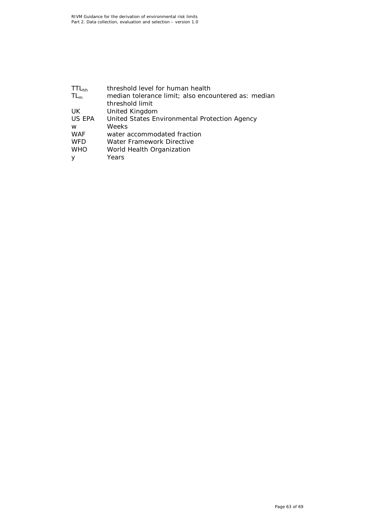| <b>TTL<sub>hh</sub></b> | threshold level for human health                    |
|-------------------------|-----------------------------------------------------|
| $TL_m$                  | median tolerance limit; also encountered as: median |
|                         | threshold limit                                     |
| UK.                     | United Kingdom                                      |
| <b>US EPA</b>           | United States Environmental Protection Agency       |
| W                       | Weeks                                               |
| <b>WAF</b>              | water accommodated fraction                         |
| WFD                     | Water Framework Directive                           |
| <b>WHO</b>              | World Health Organization                           |
|                         | Years                                               |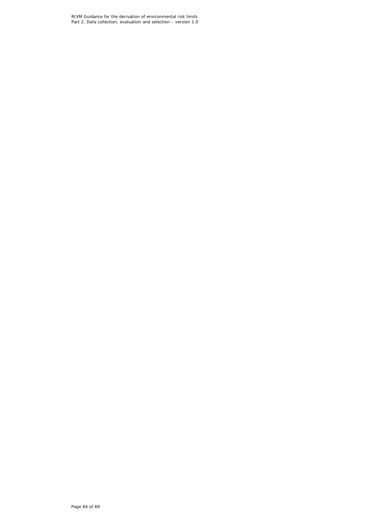RIVM Guidance for the derivation of environmental risk limits Part 2. Data collection, evaluation and selection – version 1.0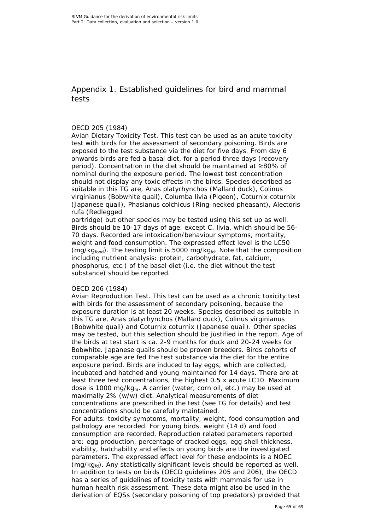<span id="page-64-0"></span>Appendix 1. Established guidelines for bird and mammal tests

# OECD 205 (1984)

Avian Dietary Toxicity Test. This test can be used as an acute toxicity test with birds for the assessment of secondary poisoning. Birds are exposed to the test substance via the diet for five days. From day 6 onwards birds are fed a basal diet, for a period three days (recovery period). Concentration in the diet should be maintained at ≥80% of nominal during the exposure period. The lowest test concentration should not display any toxic effects in the birds. Species described as suitable in this TG are, *Anas platyrhynchos* (Mallard duck), *Colinus virginianus* (Bobwhite quail), *Columba livia* (Pigeon), *Coturnix coturnix* (Japanese quail), *Phasianus colchicus* (Ring-necked pheasant), *Alectoris rufa* (Redlegged

partridge) but other species may be tested using this set up as well. Birds should be 10-17 days of age, except *C. livia*, which should be 56- 70 days. Recorded are intoxication/behaviour symptoms, mortality, weight and food consumption. The expressed effect level is the LC50 (mg/kg<sub>food</sub>). The testing limit is 5000 mg/kg<sub>fd</sub>. Note that the composition including nutrient analysis: protein, carbohydrate, fat, calcium, phosphorus, etc.) of the basal diet (i.e. the diet without the test substance) should be reported.

#### OECD 206 (1984)

Avian Reproduction Test. This test can be used as a chronic toxicity test with birds for the assessment of secondary poisoning, because the exposure duration is at least 20 weeks. Species described as suitable in this TG are, *Anas platyrhynchos* (Mallard duck), *Colinus virginianus* (Bobwhite quail) and *Coturnix coturnix* (Japanese quail). Other species may be tested, but this selection should be justified in the report. Age of the birds at test start is ca. 2-9 months for duck and 20-24 weeks for Bobwhite. Japanese quails should be proven breeders. Birds cohorts of comparable age are fed the test substance via the diet for the entire exposure period. Birds are induced to lay eggs, which are collected, incubated and hatched and young maintained for 14 days. There are at least three test concentrations, the highest 0.5 x acute LC10. Maximum dose is 1000 mg/kg<sub>fd</sub>. A carrier (water, corn oil, etc.) may be used at maximally 2% (w/w) diet. Analytical measurements of diet concentrations are prescribed in the test (see TG for details) and test concentrations should be carefully maintained.

For adults: toxicity symptoms, mortality, weight, food consumption and pathology are recorded. For young birds, weight (14 d) and food consumption are recorded. Reproduction related parameters reported are: egg production, percentage of cracked eggs, egg shell thickness, viability, hatchability and effects on young birds are the investigated parameters. The expressed effect level for these endpoints is a NOEC  $(mg/kg<sub>fd</sub>)$ . Any statistically significant levels should be reported as well. In addition to tests on birds (OECD guidelines 205 and 206), the OECD has a series of guidelines of toxicity tests with mammals for use in human health risk assessment. These data might also be used in the derivation of EQSs (secondary poisoning of top predators) provided that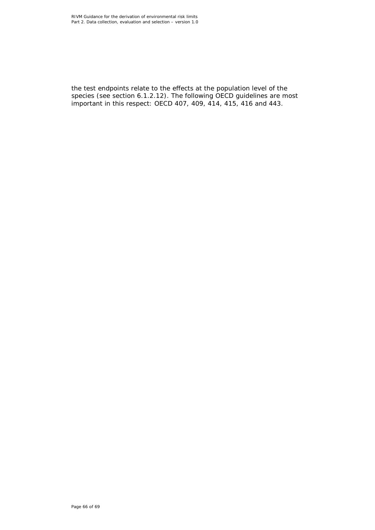the test endpoints relate to the effects at the population level of the species (see section 6.1.2.12). The following OECD guidelines are most important in this respect: OECD 407, 409, 414, 415, 416 and 443.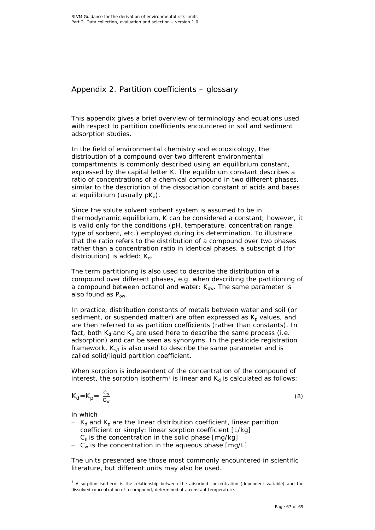# <span id="page-66-0"></span>Appendix 2. Partition coefficients – glossary

This appendix gives a brief overview of terminology and equations used with respect to partition coefficients encountered in soil and sediment adsorption studies.

In the field of environmental chemistry and ecotoxicology, the distribution of a compound over two different environmental compartments is commonly described using an equilibrium constant, expressed by the capital letter *K*. The equilibrium constant describes a ratio of concentrations of a chemical compound in two different phases, similar to the description of the dissociation constant of acids and bases at equilibrium (usually  $pK_a$ ).

Since the solute solvent sorbent system is assumed to be in thermodynamic equilibrium, *K* can be considered a constant; however, it is valid only for the conditions (pH, temperature, concentration range, type of sorbent, etc.) employed during its determination. To illustrate that the ratio refers to the *distribution* of a compound over two phases rather than a concentration ratio in identical phases, a subscript d (for distribution) is added:  $K_d$ .

The term *partitioning* is also used to describe the distribution of a compound over different phases, e.g. when describing the partitioning of a compound between octanol and water:  $K_{ow}$ . The same parameter is also found as  $P_{ow}$ .

In practice, distribution constants of metals between water and soil (or sediment, or suspended matter) are often expressed as  $K_p$  values, and are then referred to as partition coefficients (rather than constants). In fact, both  $K_d$  and  $K_p$  are used here to describe the same process (i.e. adsorption) and can be seen as synonyms. In the pesticide registration framework,  $K_{s/l}$  is also used to describe the same parameter and is called solid/liquid partition coefficient.

When sorption is independent of the concentration of the compound of interest, the sorption isotherm<sup>[7](#page-66-1)</sup> is linear and  $K_d$  is calculated as follows:

Kd=Kp= Cs Cw

(8)

in which

- $-$  K<sub>d</sub> and K<sub>p</sub> are the linear distribution coefficient, linear partition coefficient or simply: linear sorption coefficient [L/kg]
- − C<sub>s</sub> is the concentration in the solid phase [mg/kg]
- − C<sub>w</sub> is the concentration in the aqueous phase [mg/L]

The units presented are those most commonly encountered in scientific literature, but different units may also be used.

<span id="page-66-1"></span> $7$  A sorption isotherm is the relationship between the adsorbed concentration (dependent variable) and the dissolved concentration of a compound, determined at a constant temperature.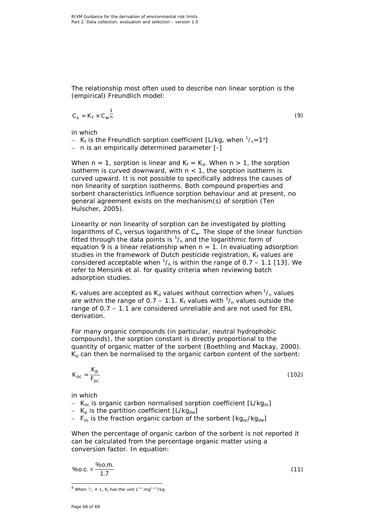The relationship most often used to describe non linear sorption is the (empirical) Freundlich model:

$$
C_{s} = K_{f} \times C_{w} \frac{1}{n}
$$
 (9)

in which

- $-$  K $_{\rm f}$  is the Freundlich sorption coefficient [L/kg, when  $^1\prime$ <sub>n</sub>=1 $^{\rm s}$ ]
- − *n* is an empirically determined parameter [-]

When  $n = 1$ , sorption is linear and  $K_f = K_d$ . When  $n > 1$ , the sorption isotherm is curved downward, with  $n < 1$ , the sorption isotherm is curved upward. It is not possible to specifically address the causes of non linearity of sorption isotherms. Both compound properties and sorbent characteristics influence sorption behaviour and at present, no general agreement exists on the mechanism(s) of sorption (Ten Hulscher, 2005).

Linearity or non linearity of sorption can be investigated by plotting logarithms of  $C_s$  versus logarithms of  $C_w$ . The slope of the linear function fitted through the data points is 1 /*<sup>n</sup>* and the logarithmic form of equation 9 is a linear relationship when  $n = 1$ . In evaluating adsorption studies in the framework of Dutch pesticide registration,  $K_f$  values are considered acceptable when  $\frac{1}{n}$  is within the range of 0.7 – 1.1 [\[13\]](#page-55-1). We refer to Mensink *et al*. for quality criteria when reviewing batch adsorption studies.

 $K_f$  values are accepted as  $K_d$  values without correction when  $\frac{1}{n}$  values are within the range of 0.7 – 1.1. K<sub>f</sub> values with  $\frac{1}{n}$  values outside the range of 0.7 – 1.1 are considered unreliable and are not used for ERL derivation.

For many organic compounds (in particular, neutral hydrophobic compounds), the sorption constant is directly proportional to the quantity of organic matter of the sorbent (Boethling and Mackay, 2000).  $K_p$  can then be normalised to the organic carbon content of the sorbent:

$$
K_{oc} = \frac{K_p}{F_{oc}} \tag{102}
$$

in which

- − K<sub>oc</sub> is organic carbon normalised sorption coefficient [L/kg<sub>oc</sub>]
- − K<sub>p</sub> is the partition coefficient [L/kg<sub>dw</sub>]
- $-$  F<sub>oc</sub> is the fraction organic carbon of the sorbent  $\left[\frac{kg_{0c}}{kg_{dw}}\right]$

When the percentage of organic carbon of the sorbent is not reported it can be calculated from the percentage organic matter using a conversion factor. In equation:

$$
\% \text{o.c.} = \frac{\% \text{o.m.}}{1.7} \tag{11}
$$

<span id="page-67-0"></span><sup>&</sup>lt;sup>8</sup> When <sup>1</sup>/<sub>n</sub> ≠ 1, *K*<sub>f</sub> has the unit L<sup>1/n</sup>.mg<sup>1-1/n</sup>/kg.